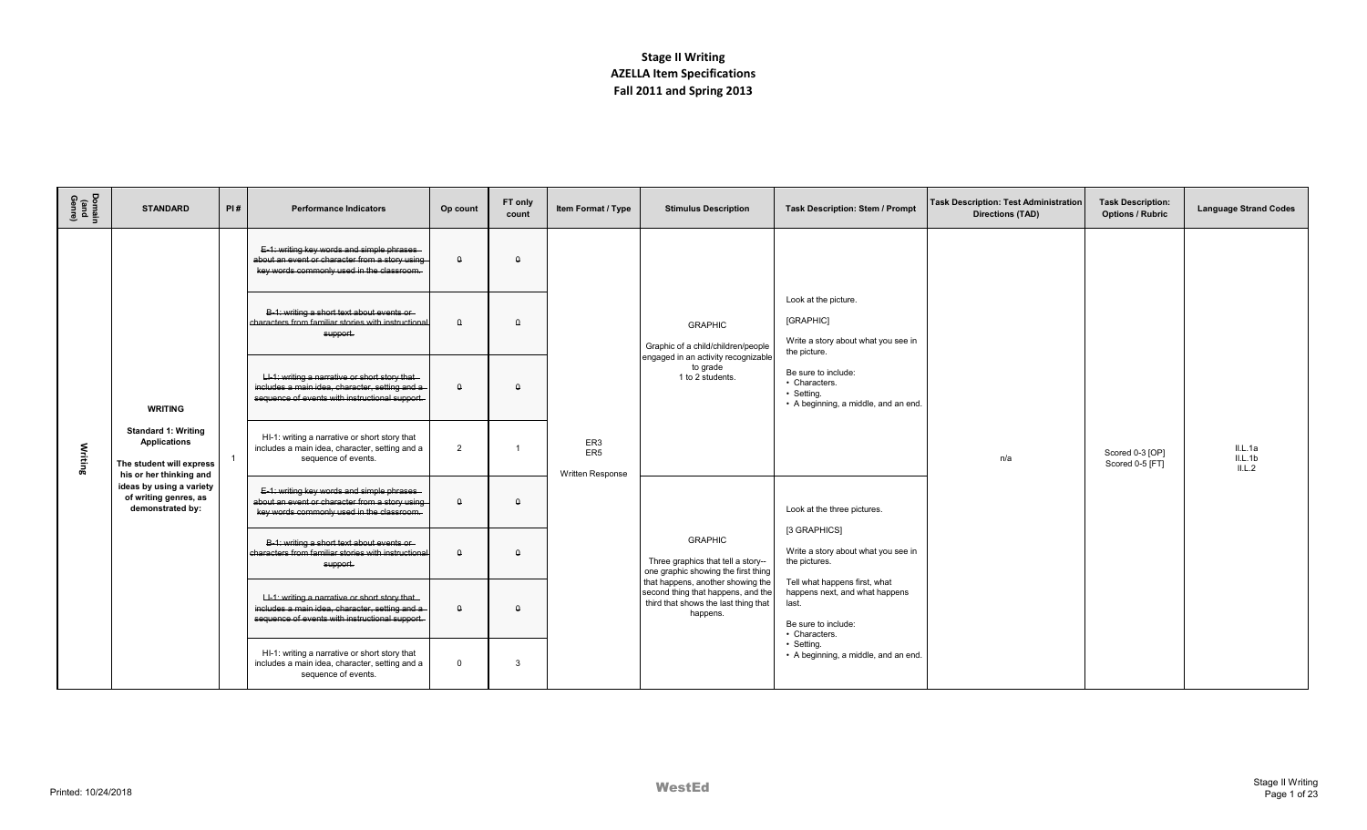| Domain<br>(and<br>Genre) | <b>STANDARD</b>                                                                                          | PI# | <b>Performance Indicators</b>                                                                                                                      | Op count | FT only<br>count | Item Format / Type                         | <b>Stimulus Description</b>                                                                                                 | <b>Task Description: Stem / Prompt</b>                                                                           | <b>Task Description: Test Administration</b><br>Directions (TAD) | <b>Task Description:</b><br><b>Options / Rubric</b> | <b>Language Strand Codes</b> |
|--------------------------|----------------------------------------------------------------------------------------------------------|-----|----------------------------------------------------------------------------------------------------------------------------------------------------|----------|------------------|--------------------------------------------|-----------------------------------------------------------------------------------------------------------------------------|------------------------------------------------------------------------------------------------------------------|------------------------------------------------------------------|-----------------------------------------------------|------------------------------|
|                          |                                                                                                          |     | E-1: writing key words and simple phrases<br>about an event or character from a story using<br>key words commonly used in the classroom.           | $\theta$ | $\theta$         |                                            |                                                                                                                             |                                                                                                                  |                                                                  |                                                     |                              |
|                          |                                                                                                          |     | B-1: writing a short text about events or<br>characters from familiar stories with instructional<br>support.                                       | $\Omega$ | $\Omega$         | ER3<br>ER <sub>5</sub><br>Written Response | <b>GRAPHIC</b><br>Graphic of a child/children/people                                                                        | Look at the picture.<br>[GRAPHIC]<br>Write a story about what you see in<br>the picture.                         |                                                                  |                                                     |                              |
|                          | <b>WRITING</b>                                                                                           |     | LI-1: writing a narrative or short story that-<br>includes a main idea, character, setting and a<br>sequence of events with instructional support. | $\Omega$ | $\Omega$         |                                            | engaged in an activity recognizable<br>to grade<br>1 to 2 students.                                                         | Be sure to include:<br>• Characters.<br>• Setting.<br>• A beginning, a middle, and an end.                       |                                                                  |                                                     |                              |
| Writing                  | <b>Standard 1: Writing</b><br><b>Applications</b><br>The student will express<br>his or her thinking and |     | HI-1: writing a narrative or short story that<br>includes a main idea, character, setting and a<br>sequence of events.                             | 2        |                  |                                            |                                                                                                                             |                                                                                                                  | n/a                                                              | Scored 0-3 [OP]<br>Scored 0-5 [FT]                  | IL.A<br>II.L.1b<br>IL.2      |
|                          | ideas by using a variety<br>of writing genres, as<br>demonstrated by:                                    |     | E-1: writing key words and simple phrases-<br>about an event or character from a story using<br>key words commonly used in the classroom.          | $\theta$ | $\Omega$         |                                            | <b>GRAPHIC</b><br>Three graphics that tell a story--<br>one graphic showing the first thing                                 | Look at the three pictures.                                                                                      |                                                                  |                                                     |                              |
|                          |                                                                                                          |     | B-1: writing a short text about events or-<br>characters from familiar stories with instructional<br>support.                                      | $\Omega$ | $\Omega$         |                                            |                                                                                                                             | [3 GRAPHICS]<br>Write a story about what you see in<br>the pictures.                                             |                                                                  |                                                     |                              |
|                          |                                                                                                          |     | LI-1: writing a narrative or short story that<br>includes a main idea, character, setting and a<br>sequence of events with instructional support.  | $\Omega$ | $\Omega$         |                                            | that happens, another showing the<br>second thing that happens, and the<br>third that shows the last thing that<br>happens. | Tell what happens first, what<br>happens next, and what happens<br>last.<br>Be sure to include:<br>• Characters. |                                                                  |                                                     |                              |
|                          |                                                                                                          |     | HI-1: writing a narrative or short story that<br>includes a main idea, character, setting and a<br>sequence of events.                             | $\Omega$ | 3                |                                            |                                                                                                                             | • Settina.<br>• A beginning, a middle, and an end.                                                               |                                                                  |                                                     |                              |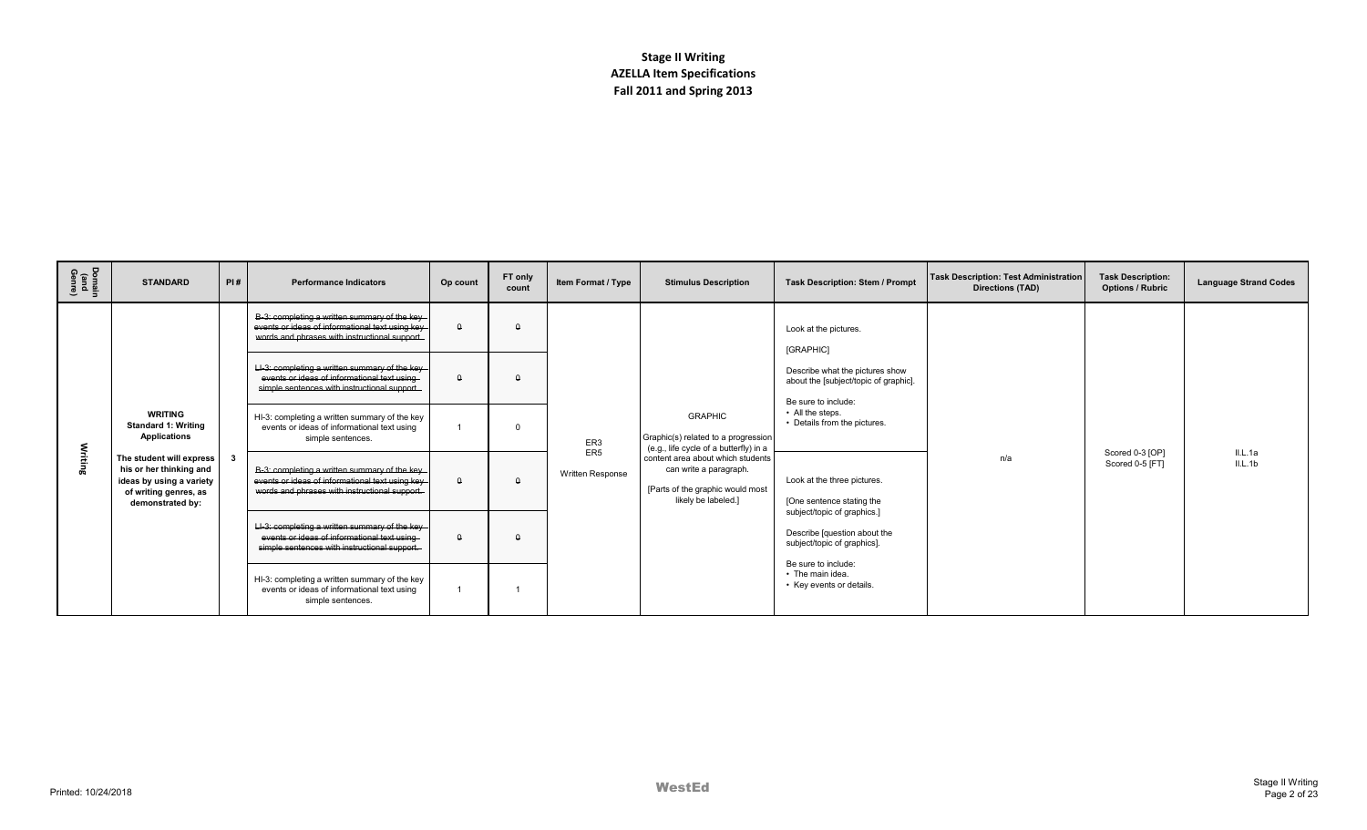| Domain<br>(and<br>Genre) | <b>STANDARD</b>                                                                                                                                                                                     | PI# | <b>Performance Indicators</b>                                                                                                                     | Op count | FT only<br>count | Item Format / Type                         | <b>Stimulus Description</b>                                                                                                                                                                                               | <b>Task Description: Stem / Prompt</b>                                                         | <b>Task Description: Test Administration</b><br>Directions (TAD) | <b>Task Description:</b><br><b>Options / Rubric</b> | <b>Language Strand Codes</b> |
|--------------------------|-----------------------------------------------------------------------------------------------------------------------------------------------------------------------------------------------------|-----|---------------------------------------------------------------------------------------------------------------------------------------------------|----------|------------------|--------------------------------------------|---------------------------------------------------------------------------------------------------------------------------------------------------------------------------------------------------------------------------|------------------------------------------------------------------------------------------------|------------------------------------------------------------------|-----------------------------------------------------|------------------------------|
|                          |                                                                                                                                                                                                     |     | B-3: completing a written summary of the key-<br>events or ideas of informational text using key<br>words and phrases with instructional support. | $\theta$ | $\theta$         |                                            |                                                                                                                                                                                                                           | Look at the pictures.<br>[GRAPHIC]                                                             |                                                                  |                                                     |                              |
| Writing                  |                                                                                                                                                                                                     |     | LI-3: completing a written summary of the key<br>events or ideas of informational text using<br>simple sentences with instructional support.      | $\Omega$ | $\Omega$         |                                            |                                                                                                                                                                                                                           | Describe what the pictures show<br>about the [subject/topic of graphic]<br>Be sure to include: |                                                                  |                                                     |                              |
|                          | <b>WRITING</b><br><b>Standard 1: Writing</b><br><b>Applications</b><br>The student will express<br>his or her thinking and<br>ideas by using a variety<br>of writing genres, as<br>demonstrated by: |     | HI-3: completing a written summary of the key<br>events or ideas of informational text using<br>simple sentences.                                 |          | $\Omega$         | ER3<br>ER <sub>5</sub><br>Written Response | <b>GRAPHIC</b><br>Graphic(s) related to a progression<br>(e.g., life cycle of a butterfly) in a<br>content area about which students<br>can write a paragraph.<br>[Parts of the graphic would most<br>likely be labeled.] | • All the steps.<br>• Details from the pictures.                                               |                                                                  |                                                     |                              |
|                          |                                                                                                                                                                                                     |     | B-3: completing a written summary of the key-<br>events or ideas of informational text using key<br>words and phrases with instructional support. | $\Omega$ | $\Omega$         |                                            |                                                                                                                                                                                                                           | Look at the three pictures.<br>[One sentence stating the<br>subject/topic of graphics.]        | n/a                                                              | Scored 0-3 [OP]<br>Scored 0-5 [FT]                  | IL.Aa<br>IL.1b               |
|                          |                                                                                                                                                                                                     |     | LI-3: completing a written summary of the key<br>events or ideas of informational text using<br>simple sentences with instructional support.      | $\Omega$ | $\Omega$         |                                            |                                                                                                                                                                                                                           | Describe [question about the<br>subject/topic of graphics].                                    |                                                                  |                                                     |                              |
|                          |                                                                                                                                                                                                     |     | HI-3: completing a written summary of the key<br>events or ideas of informational text using<br>simple sentences.                                 |          |                  |                                            |                                                                                                                                                                                                                           | Be sure to include:<br>• The main idea.<br>• Key events or details.                            |                                                                  |                                                     |                              |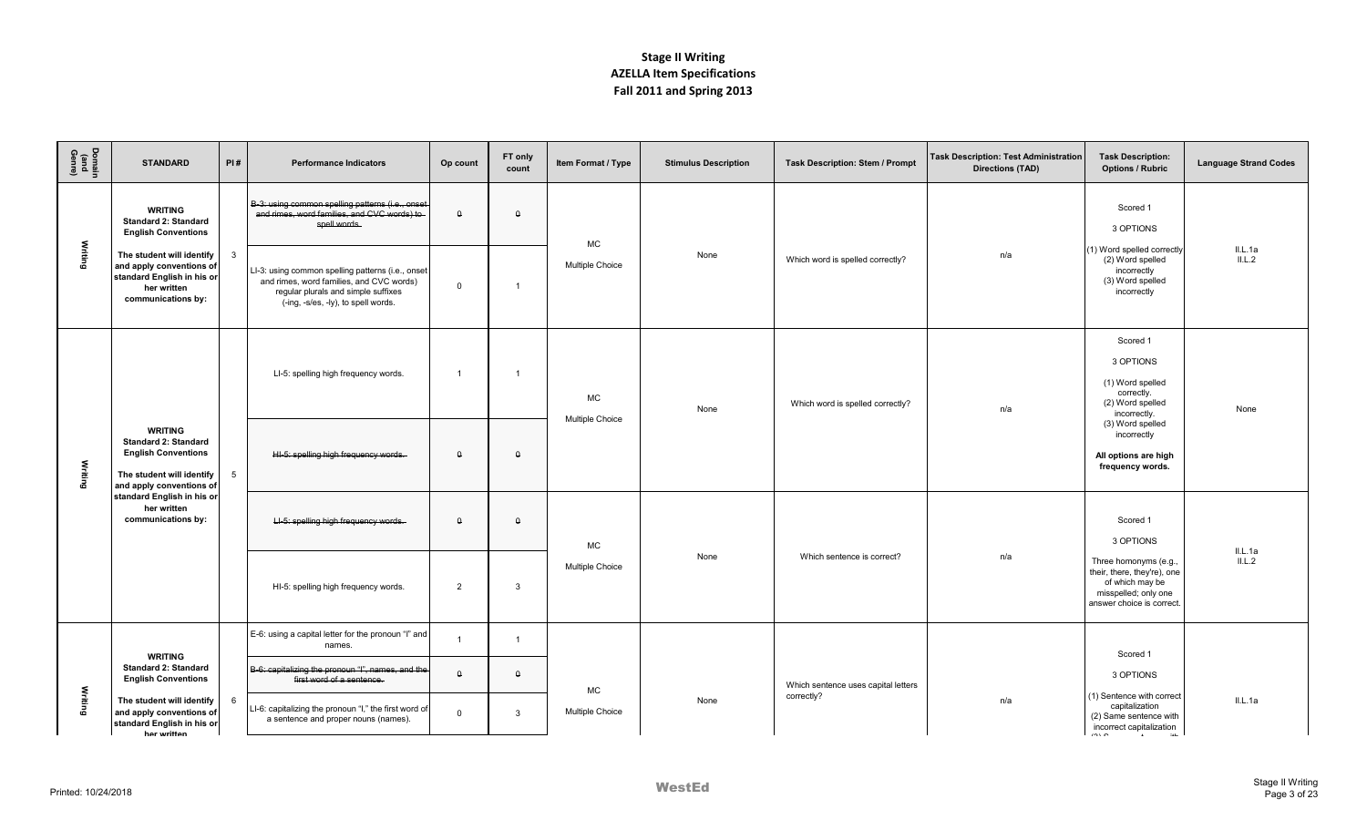| Domain<br>(and<br>Genre) | <b>STANDARD</b>                                                                                                                      | PI#          | <b>Performance Indicators</b>                                                                                                                                               | Op count       | FT only<br>count | Item Format / Type           | <b>Stimulus Description</b> | <b>Task Description: Stem / Prompt</b> | <b>Task Description: Test Administration</b><br><b>Directions (TAD)</b> | <b>Task Description:</b><br><b>Options / Rubric</b>                                                                         | <b>Language Strand Codes</b> |
|--------------------------|--------------------------------------------------------------------------------------------------------------------------------------|--------------|-----------------------------------------------------------------------------------------------------------------------------------------------------------------------------|----------------|------------------|------------------------------|-----------------------------|----------------------------------------|-------------------------------------------------------------------------|-----------------------------------------------------------------------------------------------------------------------------|------------------------------|
|                          | <b>WRITING</b><br><b>Standard 2: Standard</b><br><b>English Conventions</b>                                                          |              | B-3: using common spelling patterns (i.e., onset<br>and rimes, word families, and CVC words) to<br>spell words.                                                             | $\theta$       | $\theta$         |                              |                             |                                        |                                                                         | Scored 1<br>3 OPTIONS                                                                                                       |                              |
| Writing                  | The student will identify<br>and apply conventions of<br>standard English in his or<br>her written<br>communications by:             | $\mathbf{3}$ | LI-3: using common spelling patterns (i.e., onset<br>and rimes, word families, and CVC words)<br>regular plurals and simple suffixes<br>(-ing, -s/es, -ly), to spell words. | $\mathbf 0$    | $\overline{1}$   | <b>MC</b><br>Multiple Choice | None                        | Which word is spelled correctly?       | n/a                                                                     | (1) Word spelled correctly<br>(2) Word spelled<br>incorrectly<br>(3) Word spelled<br>incorrectly                            | IL.1a<br>IL.2                |
|                          |                                                                                                                                      |              | LI-5: spelling high frequency words.                                                                                                                                        | $\overline{1}$ | $\overline{1}$   | МC<br><b>Multiple Choice</b> | None                        | Which word is spelled correctly?       | n/a                                                                     | Scored 1<br>3 OPTIONS<br>(1) Word spelled<br>correctly.<br>(2) Word spelled<br>incorrectly.                                 | None                         |
| Writing                  | <b>WRITING</b><br><b>Standard 2: Standard</b><br><b>English Conventions</b><br>The student will identify<br>and apply conventions of | 5            | HI-5: spelling high frequency words.                                                                                                                                        | $\theta$       | $\theta$         |                              |                             |                                        |                                                                         | (3) Word spelled<br>incorrectly<br>All options are high<br>frequency words.                                                 |                              |
|                          | standard English in his or<br>her written<br>communications by:                                                                      |              | LI-5: spelling high frequency words.                                                                                                                                        | $\theta$       | $\theta$         | <b>MC</b><br>Multiple Choice | None                        |                                        |                                                                         | Scored 1<br>3 OPTIONS                                                                                                       | IL.Aa                        |
|                          |                                                                                                                                      |              | HI-5: spelling high frequency words.                                                                                                                                        | $\overline{2}$ | 3                |                              |                             | Which sentence is correct?             | n/a                                                                     | Three homonyms (e.g.,<br>their, there, they're), one<br>of which may be<br>misspelled; only one<br>answer choice is correct | IL.L.2                       |
|                          |                                                                                                                                      |              | E-6: using a capital letter for the pronoun "I" and<br>names.                                                                                                               | $\overline{1}$ | $\overline{1}$   |                              |                             |                                        |                                                                         | Scored 1                                                                                                                    |                              |
|                          | <b>WRITING</b><br><b>Standard 2: Standard</b><br><b>English Conventions</b>                                                          |              | B-6: capitalizing the pronoun "I", names, and the<br>first word of a sentence.                                                                                              | $\theta$       | $\theta$         |                              |                             | Which sentence uses capital letters    |                                                                         | 3 OPTIONS                                                                                                                   |                              |
|                          | Writing<br>The student will identify<br>and apply conventions of<br>standard English in his or<br>her written                        | 6            | LI-6: capitalizing the pronoun "I," the first word of<br>a sentence and proper nouns (names).                                                                               | $\mathbf 0$    | $\mathbf{3}$     | МC<br>Multiple Choice        | None                        | correctly?                             | n/a                                                                     | (1) Sentence with correct<br>capitalization<br>(2) Same sentence with<br>incorrect capitalization<br>$\sim$<br>2.11         | IL.Aa                        |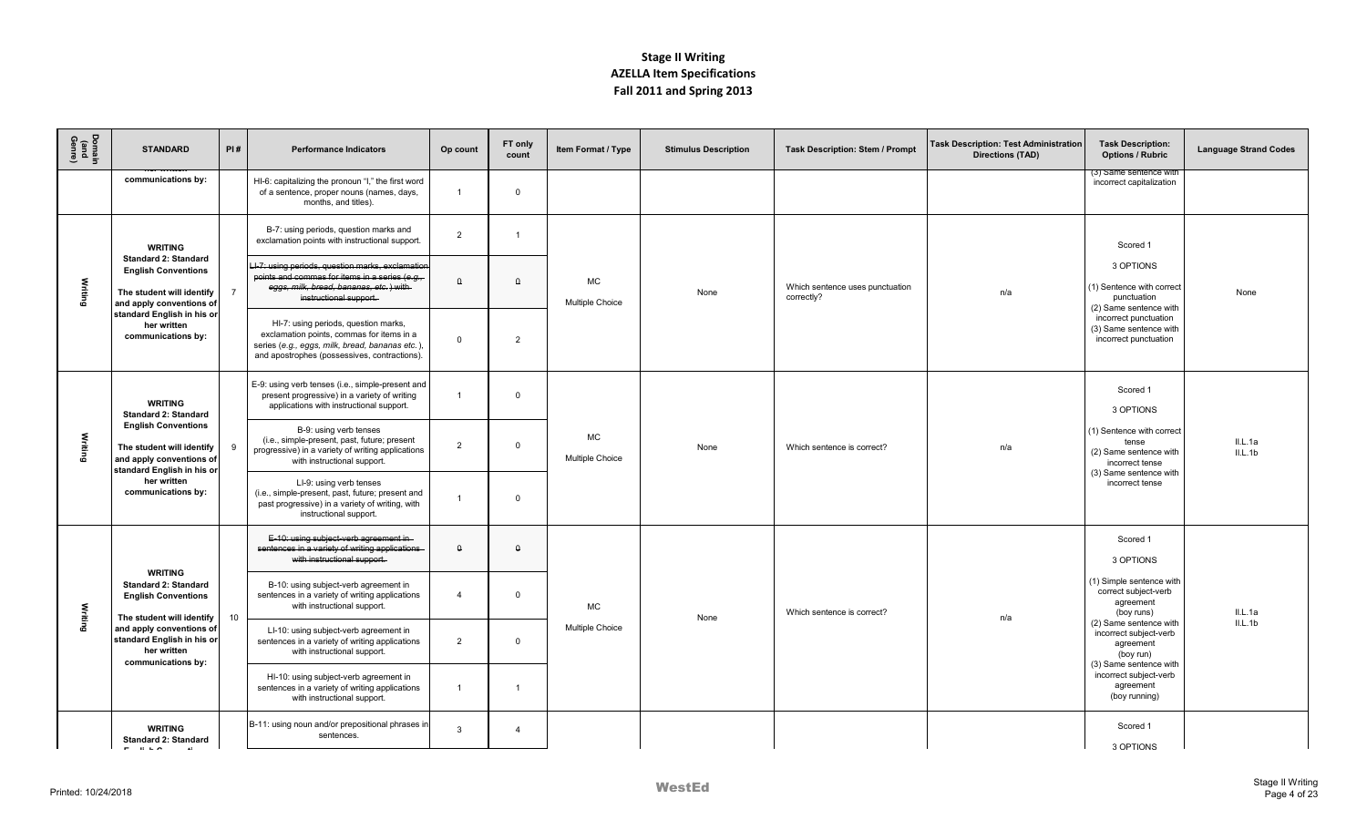| Domain<br>(and<br>Genre) | <b>STANDARD</b>                                                                                                    | PI#                             | <b>Performance Indicators</b>                                                                                                                                                       | Op count       | FT only<br>count | Item Format / Type                  | <b>Stimulus Description</b> | <b>Task Description: Stem / Prompt</b>        | <b>Task Description: Test Administration</b><br><b>Directions (TAD)</b> | <b>Task Description:</b><br><b>Options / Rubric</b>                             | <b>Language Strand Codes</b> |
|--------------------------|--------------------------------------------------------------------------------------------------------------------|---------------------------------|-------------------------------------------------------------------------------------------------------------------------------------------------------------------------------------|----------------|------------------|-------------------------------------|-----------------------------|-----------------------------------------------|-------------------------------------------------------------------------|---------------------------------------------------------------------------------|------------------------------|
|                          | communications by:                                                                                                 |                                 | HI-6: capitalizing the pronoun "I," the first word<br>of a sentence, proper nouns (names, days,<br>months, and titles).                                                             | $\overline{1}$ | $\mathbf 0$      |                                     |                             |                                               |                                                                         | (૩) Same sentence witr<br>incorrect capitalization                              |                              |
|                          | <b>WRITING</b>                                                                                                     |                                 | B-7: using periods, question marks and<br>exclamation points with instructional support.                                                                                            | $\overline{2}$ |                  |                                     |                             |                                               |                                                                         | Scored 1                                                                        |                              |
| Writing                  | <b>Standard 2: Standard</b><br><b>English Conventions</b><br>The student will identify<br>and apply conventions of |                                 | LI-7: using periods, question marks, exclamation<br>points and commas for items in a series (e.g.,<br>eggs, milk, bread, bananas, etc.) with-<br>instructional support.             | $\Omega$       | $\Omega$         | <b>MC</b><br><b>Multiple Choice</b> | None                        | Which sentence uses punctuation<br>correctly? | n/a                                                                     | 3 OPTIONS<br>(1) Sentence with correct<br>punctuation<br>(2) Same sentence with | None                         |
|                          | standard English in his or<br>her written<br>communications by:                                                    |                                 | HI-7: using periods, question marks,<br>exclamation points, commas for items in a<br>series (e.g., eggs, milk, bread, bananas etc.)<br>and apostrophes (possessives, contractions). | $\Omega$       | $\overline{2}$   |                                     |                             |                                               |                                                                         | incorrect punctuation<br>(3) Same sentence with<br>incorrect punctuation        |                              |
|                          | <b>WRITING</b><br><b>Standard 2: Standard</b>                                                                      |                                 | E-9: using verb tenses (i.e., simple-present and<br>present progressive) in a variety of writing<br>applications with instructional support.                                        |                | $\Omega$         |                                     | None                        |                                               |                                                                         | Scored 1<br>3 OPTIONS                                                           |                              |
| Writing                  | <b>English Conventions</b><br>The student will identify<br>and apply conventions of<br>standard English in his or  |                                 | B-9: using verb tenses<br>(i.e., simple-present, past, future; present<br>progressive) in a variety of writing applications<br>with instructional support.                          | $\overline{2}$ | $\Omega$         | <b>MC</b><br><b>Multiple Choice</b> |                             | Which sentence is correct?                    | n/a                                                                     | (1) Sentence with correct<br>tense<br>(2) Same sentence with<br>incorrect tense | IL.Aa<br>IL.1b               |
|                          | her written<br>communications by:                                                                                  |                                 | LI-9: using verb tenses<br>(i.e., simple-present, past, future; present and<br>past progressive) in a variety of writing, with<br>instructional support.                            |                | $\Omega$         |                                     |                             |                                               |                                                                         | (3) Same sentence with<br>incorrect tense                                       |                              |
|                          |                                                                                                                    |                                 | E-10: using subject-verb agreement in-<br>sentences in a variety of writing applications<br>with instructional support.                                                             | $\Omega$       | $\theta$         |                                     |                             | Which sentence is correct?                    |                                                                         | Scored 1<br>3 OPTIONS                                                           |                              |
| Writing                  | <b>WRITING</b><br><b>Standard 2: Standard</b><br><b>English Conventions</b>                                        |                                 | B-10: using subject-verb agreement in<br>sentences in a variety of writing applications<br>with instructional support.                                                              | $\overline{4}$ | $\mathbf 0$      | <b>MC</b><br><b>Multiple Choice</b> | None                        |                                               | n/a                                                                     | (1) Simple sentence with<br>correct subject-verb<br>agreement<br>(boy runs)     | IL.Aa                        |
|                          | and apply conventions of<br>standard English in his or<br>her written                                              | 10<br>The student will identify | LI-10: using subject-verb agreement in<br>sentences in a variety of writing applications<br>with instructional support.                                                             | $\overline{2}$ | $\mathbf 0$      |                                     |                             |                                               |                                                                         | (2) Same sentence with<br>incorrect subject-verb<br>agreement<br>(boy run)      | IL.1b                        |
|                          | communications by:                                                                                                 |                                 | HI-10: using subject-verb agreement in<br>sentences in a variety of writing applications<br>with instructional support.                                                             | $\overline{1}$ | $\mathbf{1}$     |                                     |                             |                                               |                                                                         | (3) Same sentence with<br>incorrect subject-verb<br>agreement<br>(boy running)  |                              |
|                          | <b>WRITING</b><br><b>Standard 2: Standard</b><br>$  -$<br>$\sim$                                                   |                                 | B-11: using noun and/or prepositional phrases in<br>sentences.                                                                                                                      | $\mathbf{3}$   | $\overline{4}$   |                                     |                             |                                               |                                                                         | Scored 1<br>3 OPTIONS                                                           |                              |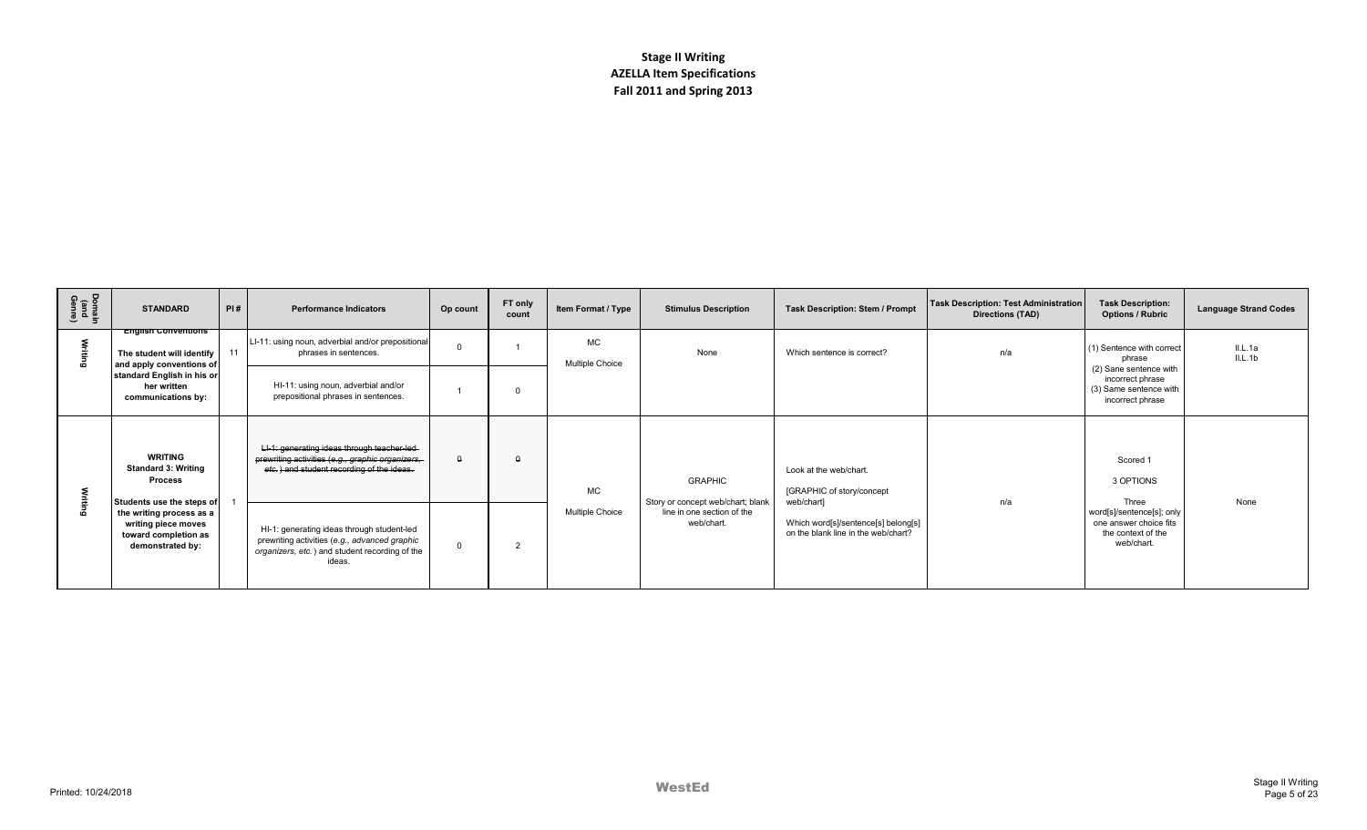| Domain<br>(and<br>Genre) | PI#<br><b>STANDARD</b>                                                                                                   | <b>Performance Indicators</b>                                                                                                                           | Op count | FT only<br>count | Item Format / Type           | <b>Stimulus Description</b>                                                   | <b>Task Description: Stem / Prompt</b>                                                   | Task Description: Test Administration<br>Directions (TAD) | <b>Task Description:</b><br><b>Options / Rubric</b>                                      | <b>Language Strand Codes</b> |
|--------------------------|--------------------------------------------------------------------------------------------------------------------------|---------------------------------------------------------------------------------------------------------------------------------------------------------|----------|------------------|------------------------------|-------------------------------------------------------------------------------|------------------------------------------------------------------------------------------|-----------------------------------------------------------|------------------------------------------------------------------------------------------|------------------------------|
| Fiting                   | <b>English Conventions</b><br>11<br>The student will identify<br>and apply conventions of                                | LI-11: using noun, adverbial and/or prepositional<br>phrases in sentences.                                                                              |          |                  | <b>MC</b><br>Multiple Choice | None                                                                          | Which sentence is correct?                                                               | n/a                                                       | (1) Sentence with correct<br>phrase                                                      | II.L.1a<br>IL.1b             |
|                          | standard English in his or<br>her written<br>communications by:                                                          | HI-11: using noun, adverbial and/or<br>prepositional phrases in sentences.                                                                              |          |                  |                              |                                                                               |                                                                                          |                                                           | (2) Sane sentence with<br>incorrect phrase<br>(3) Same sentence with<br>incorrect phrase |                              |
|                          | WRITING<br><b>Standard 3: Writing</b><br><b>Process</b>                                                                  | LI-1: generating ideas through teacher-led-<br>prewriting activities (e.g., graphic organizers,<br>etc.) and student recording of the ideas.            | Δ        | $\Omega$         | <b>MC</b>                    | <b>GRAPHIC</b>                                                                | Look at the web/chart.<br>[GRAPHIC of story/concept                                      | n/a                                                       | Scored 1<br>3 OPTIONS<br>Three                                                           | None                         |
| ട്                       | Students use the steps of<br>the writing process as a<br>writing piece moves<br>toward completion as<br>demonstrated by: | HI-1: generating ideas through student-led<br>prewriting activities (e.g., advanced graphic<br>organizers, etc.) and student recording of the<br>ideas. |          | $\overline{2}$   | <b>Multiple Choice</b>       | Story or concept web/chart; blank<br>line in one section of the<br>web/chart. | web/chart]<br>Which word[s]/sentence[s] belong[s]<br>on the blank line in the web/chart? |                                                           | word[s]/sentence[s]; only<br>one answer choice fits<br>the context of the<br>web/chart.  |                              |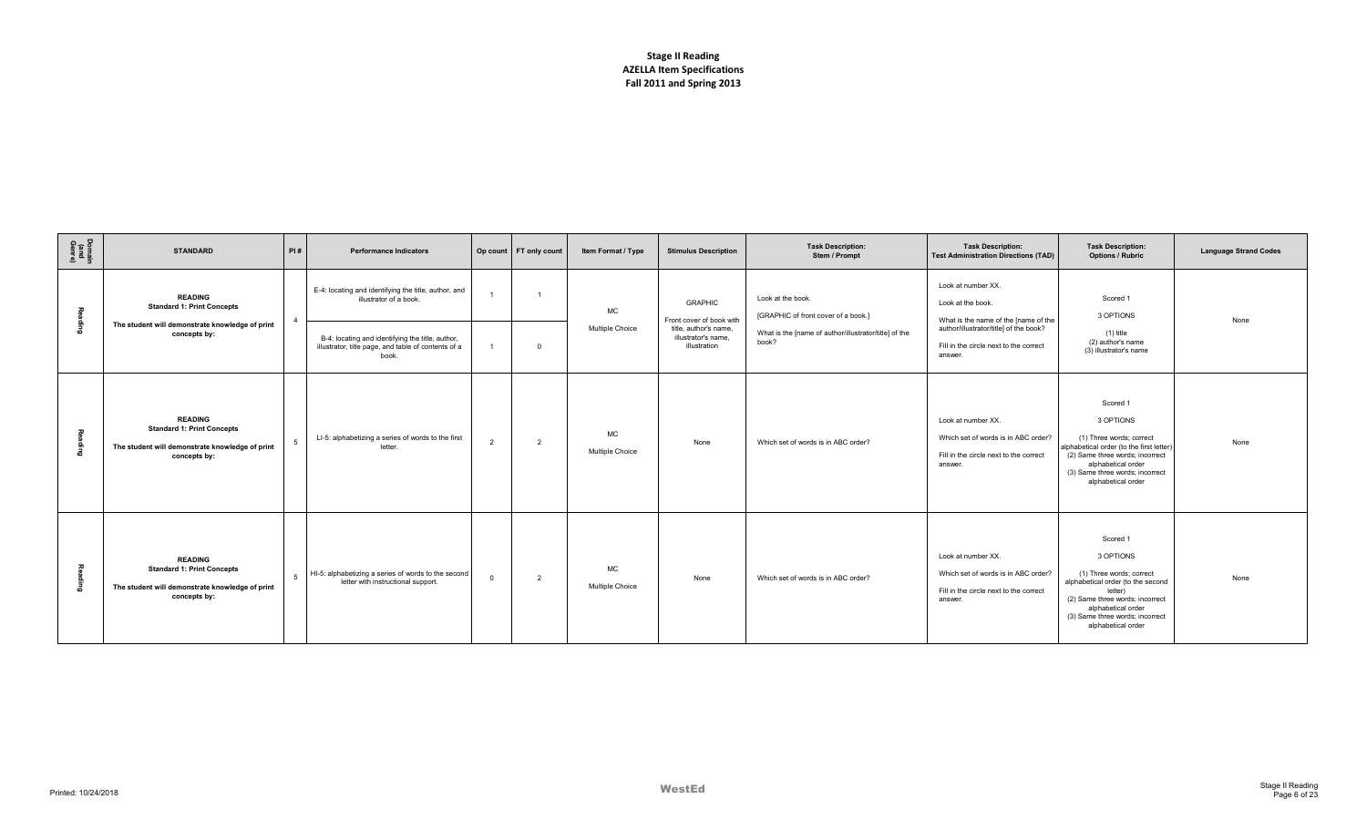| Domain<br>(and<br>Genre) | <b>STANDARD</b>                                                                                                        | PI#         | <b>Performance Indicators</b>                                                                                                                                                                      |                | Op count FT only count  | Item Format / Type           | <b>Stimulus Description</b>                                                                                | <b>Task Description:</b><br>Stem / Prompt                                                                                  | <b>Task Description:</b><br><b>Test Administration Directions (TAD)</b>                                                                                                        | <b>Task Description:</b><br><b>Options / Rubric</b>                                                                                                                                                                 | <b>Language Strand Codes</b> |
|--------------------------|------------------------------------------------------------------------------------------------------------------------|-------------|----------------------------------------------------------------------------------------------------------------------------------------------------------------------------------------------------|----------------|-------------------------|------------------------------|------------------------------------------------------------------------------------------------------------|----------------------------------------------------------------------------------------------------------------------------|--------------------------------------------------------------------------------------------------------------------------------------------------------------------------------|---------------------------------------------------------------------------------------------------------------------------------------------------------------------------------------------------------------------|------------------------------|
| 짖<br>6ujpe               | <b>READING</b><br><b>Standard 1: Print Concepts</b><br>The student will demonstrate knowledge of print<br>concepts by: |             | E-4: locating and identifying the title, author, and<br>illustrator of a book.<br>B-4: locating and identifying the title, author,<br>illustrator, title page, and table of contents of a<br>book. |                | $\overline{\mathbf{0}}$ | MC<br>Multiple Choice        | <b>GRAPHIC</b><br>Front cover of book with<br>title, author's name.<br>illustrator's name.<br>illustration | Look at the book.<br>[GRAPHIC of front cover of a book.]<br>What is the [name of author/illustrator/title] of the<br>book? | Look at number XX.<br>Look at the book.<br>What is the name of the [name of the<br>author/illustrator/title] of the book?<br>Fill in the circle next to the correct<br>answer. | Scored 1<br>3 OPTIONS<br>$(1)$ title<br>(2) author's name<br>(3) illustrator's name                                                                                                                                 | None                         |
| る<br>힆                   | <b>READING</b><br><b>Standard 1: Print Concepts</b><br>The student will demonstrate knowledge of print<br>concepts by: | -5          | LI-5: alphabetizing a series of words to the first<br>letter.                                                                                                                                      | $\overline{2}$ | $\overline{2}$          | MC<br><b>Multiple Choice</b> | None                                                                                                       | Which set of words is in ABC order?                                                                                        | Look at number XX.<br>Which set of words is in ABC order?<br>Fill in the circle next to the correct<br>answer.                                                                 | Scored 1<br>3 OPTIONS<br>(1) Three words; correct<br>alphabetical order (to the first letter)<br>(2) Same three words; incorrect<br>alphabetical order<br>(3) Same three words; incorrect<br>alphabetical order     | None                         |
| ᅎ                        | <b>READING</b><br><b>Standard 1: Print Concepts</b><br>The student will demonstrate knowledge of print<br>concepts by: | $5^{\circ}$ | HI-5: alphabetizing a series of words to the second<br>letter with instructional support.                                                                                                          | $^{\circ}$     | $\overline{2}$          | <b>MC</b><br>Multiple Choice | None                                                                                                       | Which set of words is in ABC order?                                                                                        | Look at number XX.<br>Which set of words is in ABC order?<br>Fill in the circle next to the correct<br>answer.                                                                 | Scored 1<br>3 OPTIONS<br>(1) Three words; correct<br>alphabetical order (to the second<br>letter)<br>(2) Same three words; incorrect<br>alphabetical order<br>(3) Same three words; incorrect<br>alphabetical order | None                         |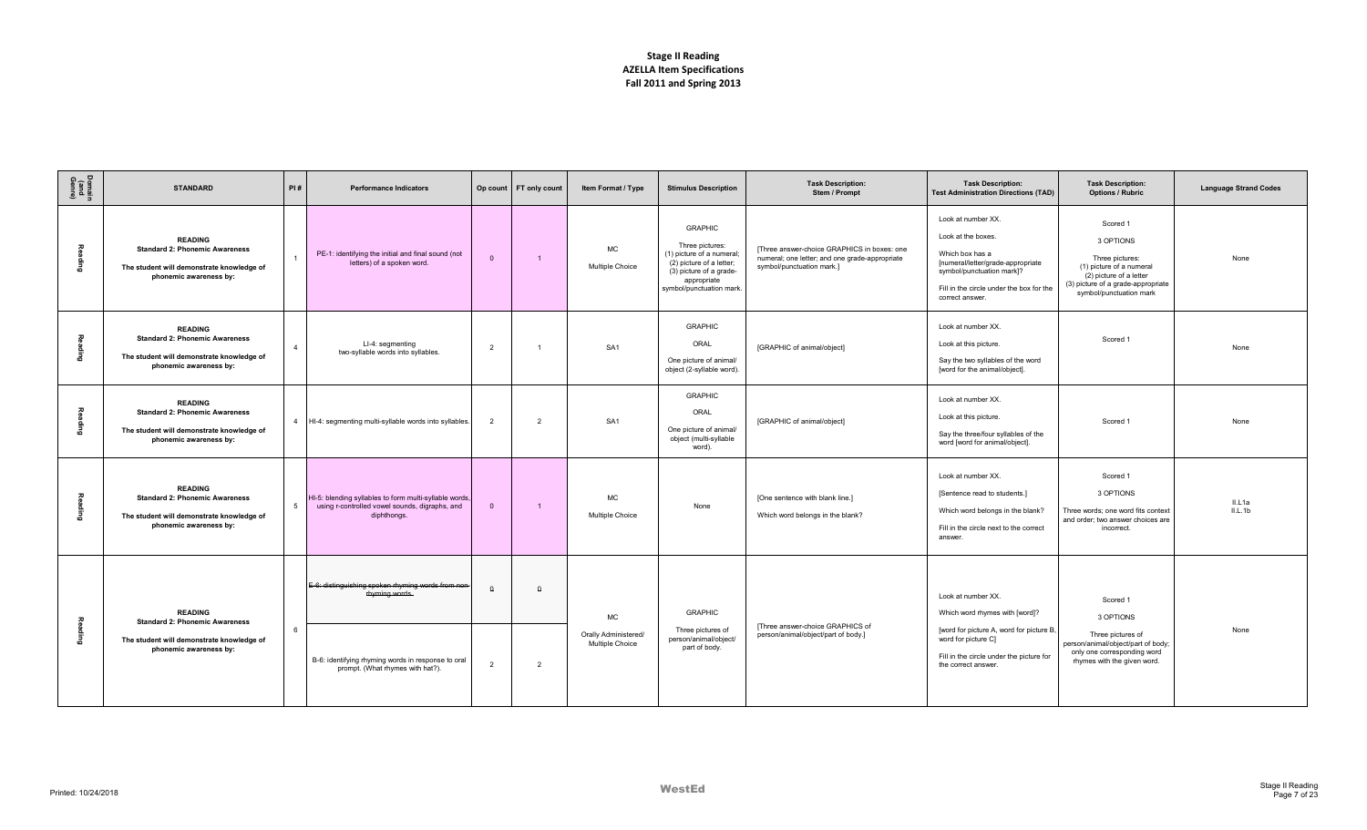| Domain<br>(and<br>Genre) | <b>STANDARD</b>                                                                                                                | PI#            | <b>Performance Indicators</b>                                                                                           |                | Op count FT only count | Item Format / Type                      | <b>Stimulus Description</b>                                                                                                                                      | <b>Task Description:</b><br>Stem / Prompt                                                                                  | <b>Task Description:</b><br><b>Test Administration Directions (TAD)</b>                                                                                                                      | <b>Task Description:</b><br><b>Options / Rubric</b>                                                                                                              | <b>Language Strand Codes</b> |
|--------------------------|--------------------------------------------------------------------------------------------------------------------------------|----------------|-------------------------------------------------------------------------------------------------------------------------|----------------|------------------------|-----------------------------------------|------------------------------------------------------------------------------------------------------------------------------------------------------------------|----------------------------------------------------------------------------------------------------------------------------|----------------------------------------------------------------------------------------------------------------------------------------------------------------------------------------------|------------------------------------------------------------------------------------------------------------------------------------------------------------------|------------------------------|
|                          | <b>READING</b><br><b>Standard 2: Phonemic Awareness</b><br>The student will demonstrate knowledge of<br>phonemic awareness by: |                | PE-1: identifying the initial and final sound (not<br>letters) of a spoken word.                                        | $\Omega$       | $\overline{1}$         | MC<br>Multiple Choice                   | <b>GRAPHIC</b><br>Three pictures:<br>(1) picture of a numeral;<br>(2) picture of a letter;<br>(3) picture of a grade-<br>appropriate<br>symbol/punctuation mark. | [Three answer-choice GRAPHICS in boxes: one<br>numeral; one letter; and one grade-appropriate<br>symbol/punctuation mark.] | Look at number XX.<br>Look at the boxes.<br>Which box has a<br>[numeral/letter/grade-appropriate<br>symbol/punctuation mark]?<br>Fill in the circle under the box for the<br>correct answer. | Scored 1<br>3 OPTIONS<br>Three pictures:<br>(1) picture of a numeral<br>(2) picture of a letter<br>(3) picture of a grade-appropriate<br>symbol/punctuation mark | None                         |
| e<br>Buj                 | <b>READING</b><br><b>Standard 2: Phonemic Awareness</b><br>The student will demonstrate knowledge of<br>phonemic awareness by: | $\overline{4}$ | LI-4: segmenting<br>two-syllable words into syllables.                                                                  | $\overline{2}$ | $\overline{1}$         | SA <sub>1</sub>                         | <b>GRAPHIC</b><br>ORAL<br>One picture of animal/<br>object (2-syllable word).                                                                                    | [GRAPHIC of animal/object]                                                                                                 | Look at number XX.<br>Look at this picture.<br>Say the two syllables of the word<br>[word for the animal/object].                                                                            | Scored 1                                                                                                                                                         | None                         |
|                          | <b>READING</b><br><b>Standard 2: Phonemic Awareness</b><br>The student will demonstrate knowledge of<br>phonemic awareness by: | $\overline{4}$ | HI-4: segmenting multi-syllable words into syllables.                                                                   | $\overline{2}$ | $\overline{2}$         | SA <sub>1</sub>                         | <b>GRAPHIC</b><br>ORAL<br>One picture of animal/<br>object (multi-syllable<br>word).                                                                             | [GRAPHIC of animal/object]                                                                                                 | Look at number XX.<br>Look at this picture.<br>Say the three/four syllables of the<br>word [word for animal/object].                                                                         | Scored 1                                                                                                                                                         | None                         |
|                          | <b>READING</b><br><b>Standard 2: Phonemic Awareness</b><br>The student will demonstrate knowledge of<br>phonemic awareness by: | 5              | HI-5: blending syllables to form multi-syllable words,<br>using r-controlled vowel sounds, digraphs, and<br>diphthongs. | $\Omega$       | $\overline{1}$         | <b>MC</b><br>Multiple Choice            | None                                                                                                                                                             | [One sentence with blank line.]<br>Which word belongs in the blank?                                                        | Look at number XX.<br>[Sentence read to students.]<br>Which word belongs in the blank?<br>Fill in the circle next to the correct<br>answer.                                                  | Scored 1<br>3 OPTIONS<br>Three words; one word fits context<br>and order; two answer choices are<br>incorrect.                                                   | II.L1a<br>IL.1b              |
|                          | <b>READING</b><br><b>Standard 2: Phonemic Awareness</b>                                                                        |                | E-6: distinguishing spoken rhyming words from non-<br>rhyming words.                                                    | $\theta$       | $\theta$               | <b>MC</b>                               | <b>GRAPHIC</b>                                                                                                                                                   |                                                                                                                            | Look at number XX.<br>Which word rhymes with [word]?                                                                                                                                         | Scored 1<br>3 OPTIONS                                                                                                                                            |                              |
|                          | The student will demonstrate knowledge of<br>phonemic awareness by:                                                            | 6              | B-6: identifying rhyming words in response to oral<br>prompt. (What rhymes with hat?).                                  | $\overline{2}$ | $\overline{2}$         | Orally Administered/<br>Multiple Choice | Three pictures of<br>person/animal/object/<br>part of body.                                                                                                      | [Three answer-choice GRAPHICS of<br>person/animal/object/part of body.]                                                    | [word for picture A, word for picture B,<br>word for picture C]<br>Fill in the circle under the picture for<br>the correct answer                                                            | Three pictures of<br>person/animal/object/part of body;<br>only one corresponding word<br>rhymes with the given word.                                            | None                         |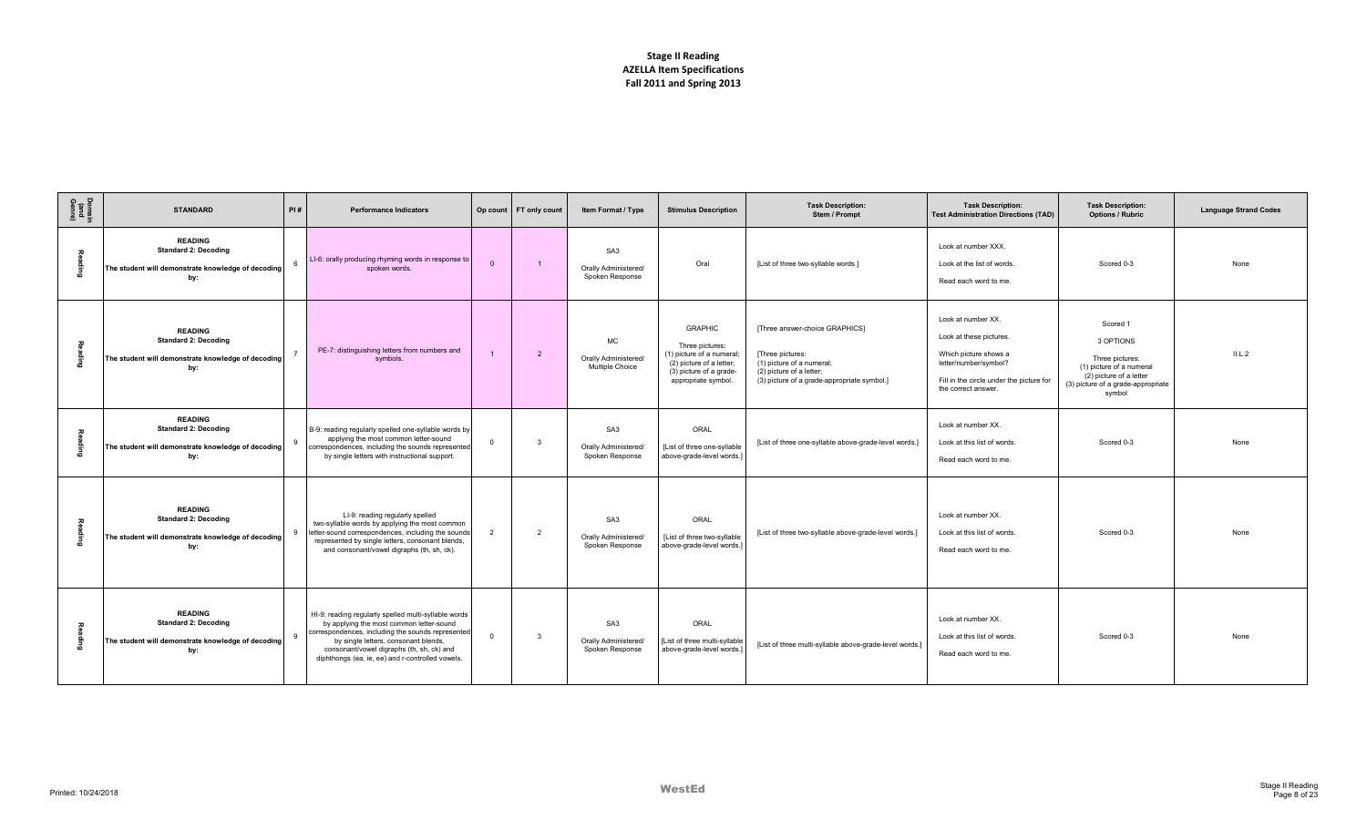| Domain<br>(and<br>Genre)     | <b>STANDARD</b>                                                                                            | PI#          | <b>Performance Indicators</b>                                                                                                                                                                                                                                                                  |                | Op count FT only count | Item Format / Type                                         | <b>Stimulus Description</b>                                                                                                                  | <b>Task Description:</b><br>Stem / Prompt                                                                                                                  | <b>Task Description:</b><br><b>Test Administration Directions (TAD)</b>                                                                                           | <b>Task Description:</b><br><b>Options / Rubric</b>                                                                                             | <b>Language Strand Codes</b> |
|------------------------------|------------------------------------------------------------------------------------------------------------|--------------|------------------------------------------------------------------------------------------------------------------------------------------------------------------------------------------------------------------------------------------------------------------------------------------------|----------------|------------------------|------------------------------------------------------------|----------------------------------------------------------------------------------------------------------------------------------------------|------------------------------------------------------------------------------------------------------------------------------------------------------------|-------------------------------------------------------------------------------------------------------------------------------------------------------------------|-------------------------------------------------------------------------------------------------------------------------------------------------|------------------------------|
| gaing                        | <b>READING</b><br><b>Standard 2: Decoding</b><br>The student will demonstrate knowledge of decoding<br>by: |              | LI-6: orally producing rhyming words in response to<br>spoken words.                                                                                                                                                                                                                           | $\overline{0}$ | $\overline{1}$         | SA <sub>3</sub><br>Orally Administered/<br>Spoken Response | Oral                                                                                                                                         | [List of three two-syllable words.]                                                                                                                        | Look at number XXX.<br>Look at the list of words<br>Read each word to me.                                                                                         | Scored 0-3                                                                                                                                      | None                         |
| ading                        | <b>READING</b><br><b>Standard 2: Decoding</b><br>The student will demonstrate knowledge of decoding<br>by: |              | PE-7: distinguishing letters from numbers and<br>symbols.                                                                                                                                                                                                                                      |                | $\overline{2}$         | <b>MC</b><br>Orally Administered/<br>Multiple Choice       | <b>GRAPHIC</b><br>Three pictures:<br>(1) picture of a numeral;<br>(2) picture of a letter;<br>(3) picture of a grade-<br>appropriate symbol. | [Three answer-choice GRAPHICS]<br>[Three pictures:<br>(1) picture of a numeral;<br>(2) picture of a letter;<br>(3) picture of a grade-appropriate symbol.] | Look at number XX.<br>Look at these pictures<br>Which picture shows a<br>letter/number/symbol?<br>Fill in the circle under the picture for<br>the correct answer. | Scored 1<br>3 OPTIONS<br>Three pictures:<br>(1) picture of a numeral<br>(2) picture of a letter<br>(3) picture of a grade-appropriate<br>symbol | IL.L.2                       |
| $\overline{A}$<br>nging<br>D | <b>READING</b><br><b>Standard 2: Decoding</b><br>The student will demonstrate knowledge of decoding<br>by: |              | B-9: reading regularly spelled one-syllable words by<br>applying the most common letter-sound<br>correspondences, including the sounds represented<br>by single letters with instructional support.                                                                                            | $\mathbf 0$    | 3                      | SA <sub>3</sub><br>Orally Administered/<br>Spoken Response | ORAL<br>[List of three one-syllable<br>above-grade-level words.]                                                                             | [List of three one-syllable above-grade-level words.]                                                                                                      | Look at number XX.<br>Look at this list of words.<br>Read each word to me.                                                                                        | Scored 0-3                                                                                                                                      | None                         |
| ag<br>R                      | <b>READING</b><br><b>Standard 2: Decoding</b><br>The student will demonstrate knowledge of decoding<br>by: | $\mathbf{q}$ | LI-9: reading regularly spelled<br>two-syllable words by applying the most common<br>letter-sound correspondences, including the sounds<br>represented by single letters, consonant blends,<br>and consonant/vowel digraphs (th, sh, ck).                                                      | $\overline{2}$ | $\overline{2}$         | SA <sub>3</sub><br>Orally Administered/<br>Spoken Response | ORAL<br>[List of three two-syllable<br>above-grade-level words.]                                                                             | [List of three two-syllable above-grade-level words.]                                                                                                      | Look at number XX.<br>Look at this list of words.<br>Read each word to me.                                                                                        | Scored 0-3                                                                                                                                      | None                         |
| aqing                        | <b>READING</b><br><b>Standard 2: Decoding</b><br>The student will demonstrate knowledge of decoding<br>by: | $\alpha$     | HI-9: reading regularly spelled multi-syllable words<br>by applying the most common letter-sound<br>correspondences, including the sounds represented<br>by single letters, consonant blends,<br>consonant/vowel digraphs (th, sh, ck) and<br>diphthongs (ea, ie, ee) and r-controlled vowels. | $\mathbf 0$    | 3                      | SA <sub>3</sub><br>Orally Administered/<br>Spoken Response | ORAL<br>[List of three multi-syllable<br>above-grade-level words.                                                                            | [List of three multi-syllable above-grade-level words.]                                                                                                    | Look at number XX.<br>Look at this list of words.<br>Read each word to me.                                                                                        | Scored 0-3                                                                                                                                      | None                         |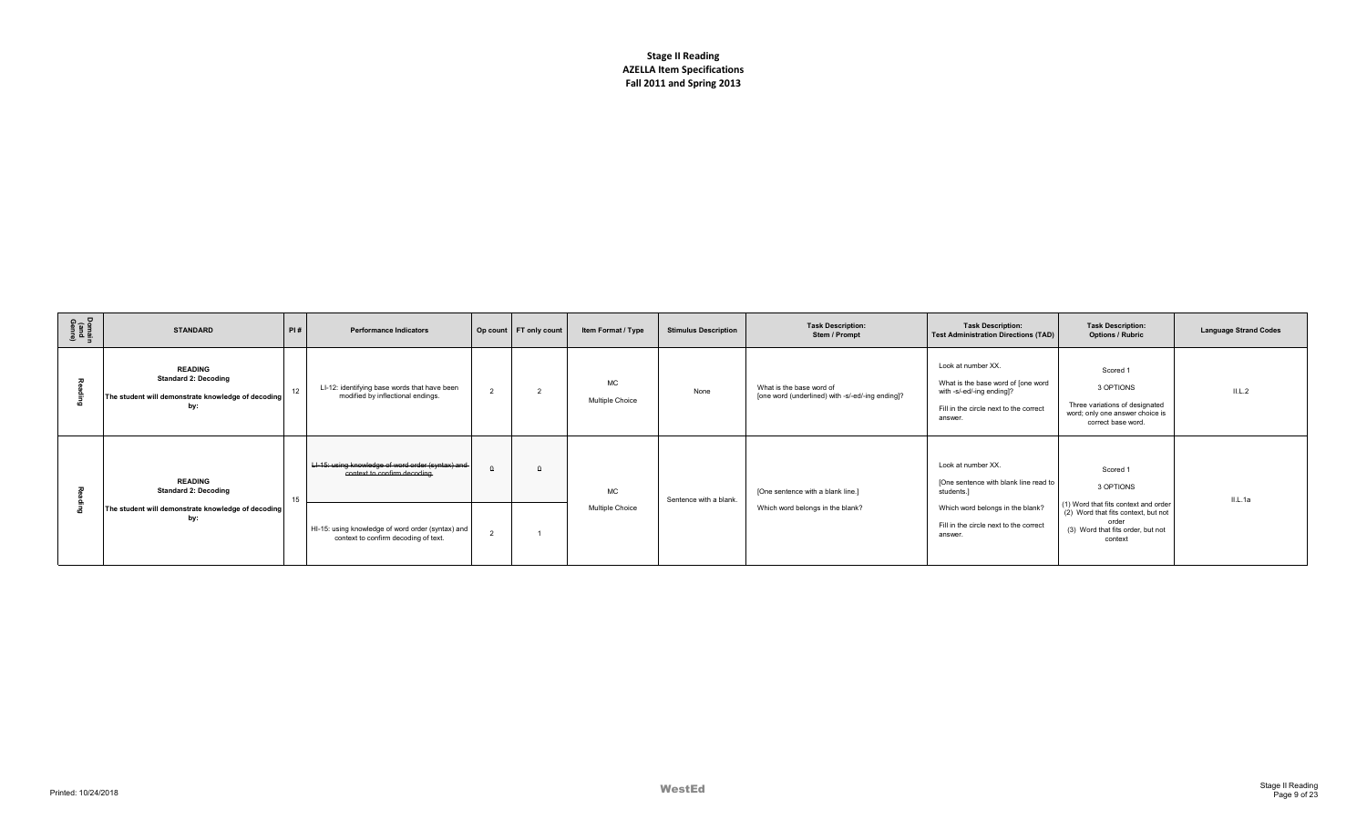| Domain<br>(and<br>Genre) | <b>STANDARD</b>                                                                                            | PI# | <b>Performance Indicators</b>                                                             |                | Op count FT only count | Item Format / Type           | <b>Stimulus Description</b> | <b>Task Description:</b><br>Stem / Prompt                                    | <b>Task Description:</b><br><b>Test Administration Directions (TAD)</b>                                                                    | <b>Task Description:</b><br><b>Options / Rubric</b>                                                                                  | <b>Language Strand Codes</b> |
|--------------------------|------------------------------------------------------------------------------------------------------------|-----|-------------------------------------------------------------------------------------------|----------------|------------------------|------------------------------|-----------------------------|------------------------------------------------------------------------------|--------------------------------------------------------------------------------------------------------------------------------------------|--------------------------------------------------------------------------------------------------------------------------------------|------------------------------|
|                          | <b>READING</b><br><b>Standard 2: Decoding</b><br>The student will demonstrate knowledge of decoding<br>by: | 12  | LI-12: identifying base words that have been<br>modified by inflectional endings.         | $\overline{2}$ |                        | <b>MC</b><br>Multiple Choice | None                        | What is the base word of<br>[one word (underlined) with -s/-ed/-ing ending]? | Look at number XX.<br>What is the base word of [one word<br>with -s/-ed/-ing ending]?<br>Fill in the circle next to the correct<br>answer. | Scored 1<br>3 OPTIONS<br>Three variations of designated<br>word; only one answer choice is<br>correct base word.                     | IL.2                         |
|                          | <b>READING</b><br><b>Standard 2: Decoding</b>                                                              | 15  | LI-15: using knowledge of word order (syntax) and-<br>context to confirm decoding.        | $\Omega$       |                        | MC.                          | Sentence with a blank.      | [One sentence with a blank line.]                                            | Look at number XX.<br>[One sentence with blank line read to<br>students.]                                                                  | Scored 1<br>3 OPTIONS                                                                                                                | IL.Aa                        |
|                          | The student will demonstrate knowledge of decoding<br>by:                                                  |     | HI-15: using knowledge of word order (syntax) and<br>context to confirm decoding of text. |                |                        | Multiple Choice              |                             | Which word belongs in the blank?                                             | Which word belongs in the blank?<br>Fill in the circle next to the correct<br>answer.                                                      | (1) Word that fits context and order<br>(2) Word that fits context, but not<br>order<br>(3) Word that fits order, but not<br>context |                              |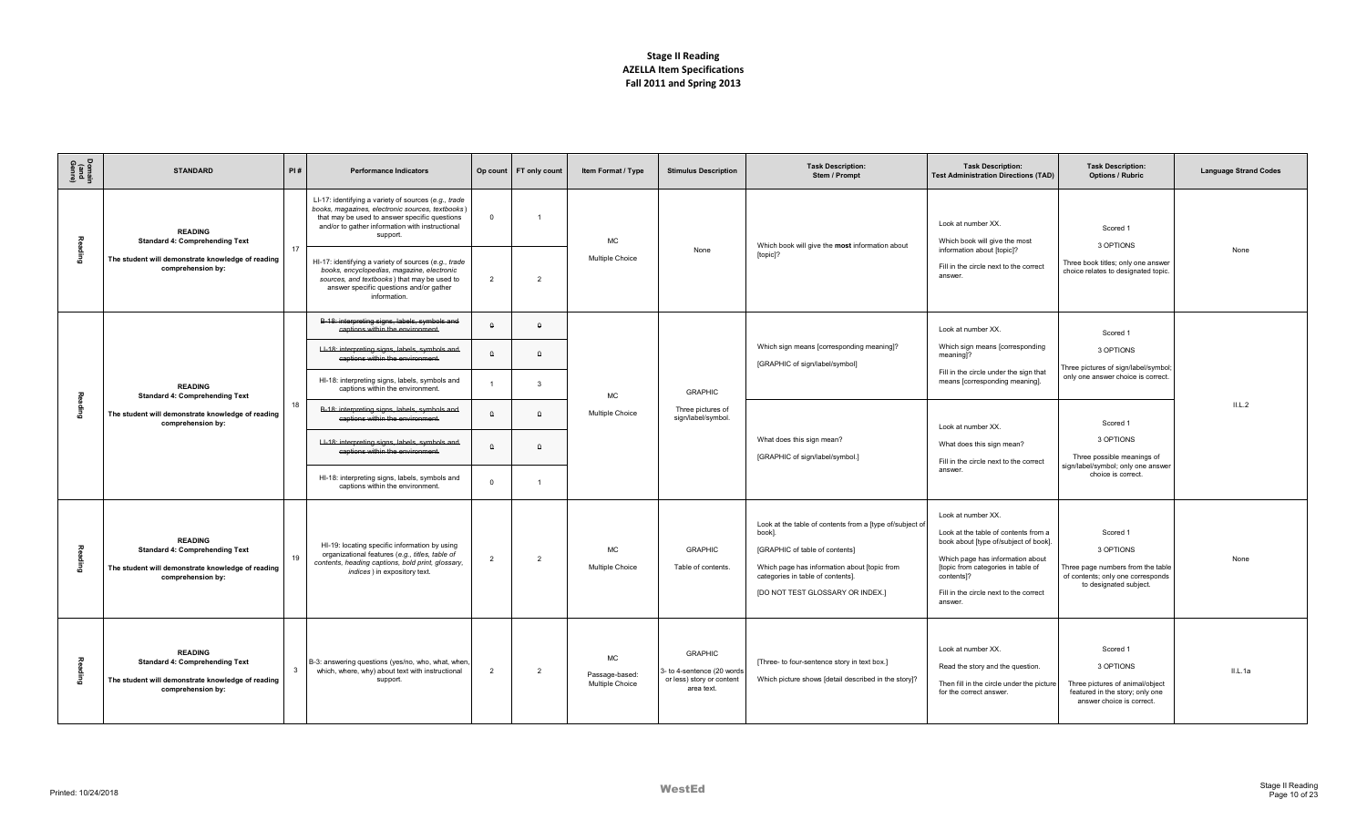| Domain<br>(and<br>Genre) | <b>STANDARD</b>                                                                                                                   | PI#          | <b>Performance Indicators</b>                                                                                                                                                                                                                                                                                                                                                                                                            |                                  | Op count FT only count                 | Item Format / Type                             | <b>Stimulus Description</b>                                                            | <b>Task Description:</b><br>Stem / Prompt                                                                                                                                                                                     | <b>Task Description:</b><br><b>Test Administration Directions (TAD)</b>                                                                                                                                                                         | <b>Task Description:</b><br><b>Options / Rubric</b>                                                                       | <b>Language Strand Codes</b> |
|--------------------------|-----------------------------------------------------------------------------------------------------------------------------------|--------------|------------------------------------------------------------------------------------------------------------------------------------------------------------------------------------------------------------------------------------------------------------------------------------------------------------------------------------------------------------------------------------------------------------------------------------------|----------------------------------|----------------------------------------|------------------------------------------------|----------------------------------------------------------------------------------------|-------------------------------------------------------------------------------------------------------------------------------------------------------------------------------------------------------------------------------|-------------------------------------------------------------------------------------------------------------------------------------------------------------------------------------------------------------------------------------------------|---------------------------------------------------------------------------------------------------------------------------|------------------------------|
|                          | <b>READING</b><br><b>Standard 4: Comprehending Text</b><br>The student will demonstrate knowledge of reading<br>comprehension by: | 17           | LI-17: identifying a variety of sources (e.g., trade<br>books, magazines, electronic sources, textbooks)<br>that may be used to answer specific questions<br>and/or to gather information with instructional<br>support.<br>HI-17: identifying a variety of sources (e.g., trade<br>books, encyclopedias, magazine, electronic<br>sources, and textbooks) that may be used to<br>answer specific questions and/or gather<br>information. | $\Omega$<br>$\overline{2}$       | -1<br>$\overline{2}$                   | МC<br>Multiple Choice                          | None                                                                                   | Which book will give the most information about<br>[topic]?                                                                                                                                                                   | Look at number XX.<br>Which book will give the most<br>information about [topic]?<br>Fill in the circle next to the correct<br>answer.                                                                                                          | Scored 1<br>3 OPTIONS<br>Three book titles; only one answer<br>choice relates to designated topic.                        | None                         |
|                          | <b>READING</b><br><b>Standard 4: Comprehending Text</b>                                                                           |              | B-18: interpreting signs, labels, symbols and<br>captions within the environment.<br>LI-18: interpreting signs, labels, symbols and<br>captions within the environment.<br>HI-18: interpreting signs, labels, symbols and<br>captions within the environment.                                                                                                                                                                            | $\Omega$                         | $\theta$<br>$\theta$<br>$\mathcal{R}$  | МC                                             | <b>GRAPHIC</b>                                                                         | Which sign means [corresponding meaning]?<br>[GRAPHIC of sign/label/symbol]                                                                                                                                                   | Look at number XX.<br>Which sign means [corresponding<br>meaning]?<br>Fill in the circle under the sign that<br>means [corresponding meaning].                                                                                                  | Scored 1<br>3 OPTIONS<br>Three pictures of sign/label/symbol;<br>only one answer choice is correct.                       |                              |
| 룳                        | The student will demonstrate knowledge of reading<br>comprehension by:                                                            | 18           | B-18: interpreting signs, labels, symbols and<br>captions within the environment.<br>LI-18: interpreting signs, labels, symbols and<br>captions within the environment.<br>HI-18: interpreting signs, labels, symbols and<br>captions within the environment.                                                                                                                                                                            | $\Omega$<br>$\Delta$<br>$\Omega$ | $\Omega$<br>$\theta$<br>$\overline{1}$ | Multiple Choice                                | Three pictures of<br>sign/label/symbol.                                                | What does this sign mean?<br>[GRAPHIC of sign/label/symbol.]                                                                                                                                                                  | Look at number XX.<br>What does this sign mean?<br>Fill in the circle next to the correct<br>answer.                                                                                                                                            | Scored 1<br>3 OPTIONS<br>Three possible meanings of<br>sign/label/symbol; only one answer<br>choice is correct.           | IL.L.2                       |
| ᇙ                        | <b>READING</b><br><b>Standard 4: Comprehending Text</b><br>The student will demonstrate knowledge of reading<br>comprehension by: | 19           | HI-19: locating specific information by using<br>organizational features (e.g., titles, table of<br>contents, heading captions, bold print, glossary,<br>indices) in expository text.                                                                                                                                                                                                                                                    | $\overline{2}$                   | $\overline{2}$                         | МC<br>Multiple Choice                          | <b>GRAPHIC</b><br>Table of contents.                                                   | Look at the table of contents from a [type of/subject of<br>book].<br>[GRAPHIC of table of contents]<br>Which page has information about [topic from<br>categories in table of contents].<br>[DO NOT TEST GLOSSARY OR INDEX.] | Look at number XX.<br>Look at the table of contents from a<br>book about [type of/subject of book].<br>Which page has information about<br>[topic from categories in table of<br>contents]?<br>Fill in the circle next to the correct<br>answer | Scored 1<br>3 OPTIONS<br>Three page numbers from the table<br>of contents; only one corresponds<br>to designated subject. | None                         |
| å                        | <b>READING</b><br><b>Standard 4: Comprehending Text</b><br>The student will demonstrate knowledge of reading<br>comprehension by: | $\mathbf{3}$ | B-3: answering questions (yes/no, who, what, when,<br>which, where, why) about text with instructional<br>support.                                                                                                                                                                                                                                                                                                                       | $\overline{2}$                   | $\overline{2}$                         | <b>MC</b><br>Passage-based:<br>Multiple Choice | <b>GRAPHIC</b><br>- to 4-sentence (20 words<br>or less) story or content<br>area text. | [Three- to four-sentence story in text box.]<br>Which picture shows [detail described in the story]?                                                                                                                          | Look at number XX.<br>Read the story and the question.<br>Then fill in the circle under the picture<br>for the correct answer.                                                                                                                  | Scored 1<br>3 OPTIONS<br>Three pictures of animal/object<br>featured in the story; only one<br>answer choice is correct.  | IL.Aa                        |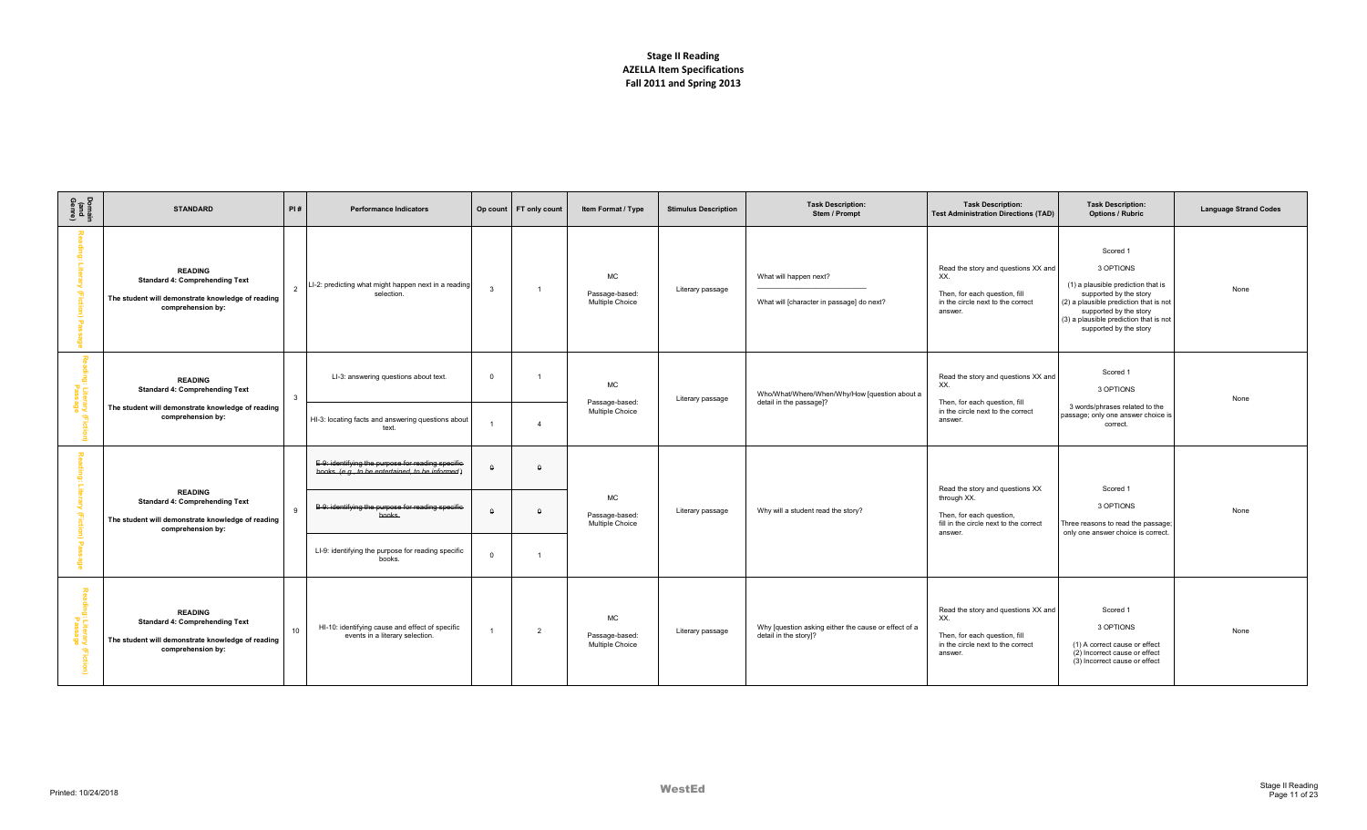| Domain<br>(and<br>Genre) | <b>STANDARD</b>                                                                                                                   | PI#            | <b>Performance Indicators</b>                                                                          |                         | Op count   FT only count | Item Format / Type                             | <b>Stimulus Description</b> | <b>Task Description:</b><br>Stem / Prompt                                     | <b>Task Description:</b><br><b>Test Administration Directions (TAD)</b>                                                     | <b>Task Description:</b><br><b>Options / Rubric</b>                                                                                                                                                                           | <b>Language Strand Codes</b> |
|--------------------------|-----------------------------------------------------------------------------------------------------------------------------------|----------------|--------------------------------------------------------------------------------------------------------|-------------------------|--------------------------|------------------------------------------------|-----------------------------|-------------------------------------------------------------------------------|-----------------------------------------------------------------------------------------------------------------------------|-------------------------------------------------------------------------------------------------------------------------------------------------------------------------------------------------------------------------------|------------------------------|
|                          | <b>READING</b><br><b>Standard 4: Comprehending Text</b><br>The student will demonstrate knowledge of reading<br>comprehension by: | $\overline{2}$ | LI-2: predicting what might happen next in a reading<br>selection.                                     | $\overline{\mathbf{3}}$ | $\overline{1}$           | MC<br>Passage-based:<br>Multiple Choice        | Literary passage            | What will happen next?<br>What will [character in passage] do next?           | Read the story and questions XX and<br>XX.<br>Then, for each question, fill<br>in the circle next to the correct<br>answer. | Scored 1<br>3 OPTIONS<br>(1) a plausible prediction that is<br>supported by the story<br>(2) a plausible prediction that is not<br>supported by the story<br>(3) a plausible prediction that is not<br>supported by the story | None                         |
|                          | <b>READING</b><br><b>Standard 4: Comprehending Text</b>                                                                           | $\mathbf{3}$   | LI-3: answering questions about text.                                                                  | $\overline{0}$          |                          | MC<br>Passage-based                            | Literary passage            | Who/What/Where/When/Why/How [question about a<br>detail in the passage]?      | Read the story and questions XX and<br>XX.<br>Then, for each question, fill                                                 | Scored 1<br>3 OPTIONS                                                                                                                                                                                                         | None                         |
| ទី ភ្ន                   | The student will demonstrate knowledge of reading<br>comprehension by:                                                            |                | HI-3: locating facts and answering questions about<br>text.                                            |                         | $\mathbf{4}$             | Multiple Choice                                |                             |                                                                               | in the circle next to the correct<br>answer.                                                                                | 3 words/phrases related to the<br>passage; only one answer choice is<br>correct.                                                                                                                                              |                              |
|                          |                                                                                                                                   |                | E-9: identifying the purpose for reading specific-<br>books. (e.g., to be entertained, to be informed) | $\Omega$                | $\Omega$                 | <b>MC</b><br>Passage-based:<br>Multiple Choice | Literary passage            |                                                                               | Read the story and questions XX                                                                                             | Scored 1                                                                                                                                                                                                                      |                              |
|                          | <b>READING</b><br><b>Standard 4: Comprehending Text</b><br>The student will demonstrate knowledge of reading<br>comprehension by: | 9              | B-9: identifying the purpose for reading specific-<br>books.                                           | $\Omega$                | $\Omega$                 |                                                |                             | Why will a student read the story?                                            | through XX.<br>Then, for each question,<br>fill in the circle next to the correct<br>answer.                                | 3 OPTIONS<br>Three reasons to read the passage<br>only one answer choice is correct.                                                                                                                                          | None                         |
|                          |                                                                                                                                   |                | LI-9: identifying the purpose for reading specific<br>books.                                           | $\Omega$                | -1                       |                                                |                             |                                                                               |                                                                                                                             |                                                                                                                                                                                                                               |                              |
| :Lite<br>Pass<br>iction) | <b>READING</b><br><b>Standard 4: Comprehending Text</b><br>The student will demonstrate knowledge of reading<br>comprehension by: | 10             | HI-10: identifying cause and effect of specific<br>events in a literary selection.                     |                         | $\overline{2}$           | <b>MC</b><br>Passage-based:<br>Multiple Choice | Literary passage            | Why [question asking either the cause or effect of a<br>detail in the story]? | Read the story and questions XX and<br>XX.<br>Then, for each question, fill<br>in the circle next to the correct<br>answer. | Scored 1<br>3 OPTIONS<br>(1) A correct cause or effect<br>(2) Incorrect cause or effect<br>(3) Incorrect cause or effect                                                                                                      | None                         |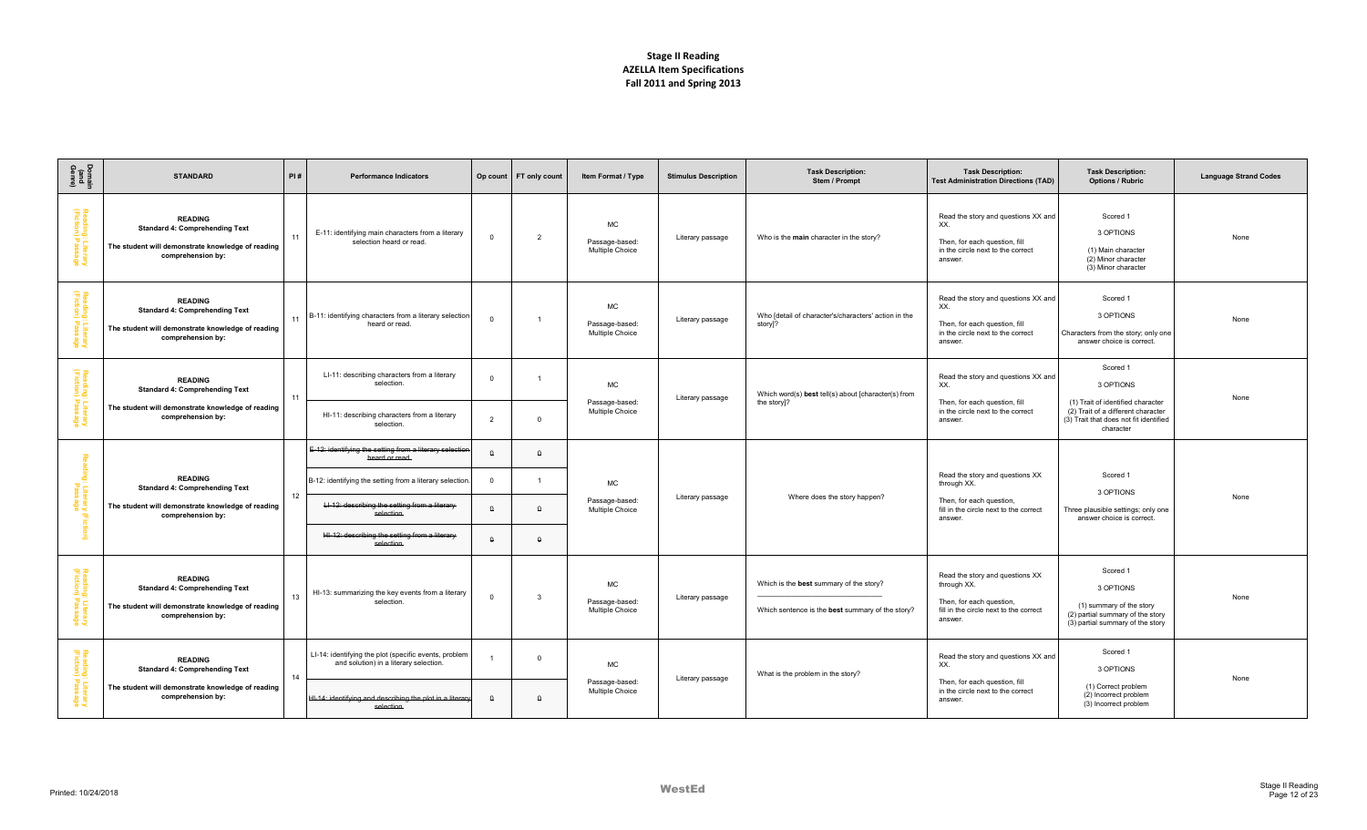| Domain<br>(and<br>Genre)                       | <b>STANDARD</b>                                                                                                                   | PI#                                                                   | <b>Performance Indicators</b>                                                                   | Op count       | FT only count                     | Item Format / Type                      | <b>Stimulus Description</b>       | <b>Task Description:</b><br>Stem / Prompt                                     | <b>Task Description:</b><br><b>Test Administration Directions (TAD)</b>                                                     | <b>Task Description:</b><br><b>Options / Rubric</b>                                              | <b>Language Strand Codes</b> |
|------------------------------------------------|-----------------------------------------------------------------------------------------------------------------------------------|-----------------------------------------------------------------------|-------------------------------------------------------------------------------------------------|----------------|-----------------------------------|-----------------------------------------|-----------------------------------|-------------------------------------------------------------------------------|-----------------------------------------------------------------------------------------------------------------------------|--------------------------------------------------------------------------------------------------|------------------------------|
| Reading: Literary<br>(Fiction) Passage         | <b>READING</b><br><b>Standard 4: Comprehending Text</b><br>The student will demonstrate knowledge of reading<br>comprehension by: | 11                                                                    | E-11: identifying main characters from a literary<br>selection heard or read.                   | $\Omega$       | $\overline{2}$                    | МC<br>Passage-based:<br>Multiple Choice | Literary passage                  | Who is the main character in the story?                                       | Read the story and questions XX and<br>XX.<br>Then, for each question, fill<br>in the circle next to the correct<br>answer. | Scored 1<br>3 OPTIONS<br>(1) Main character<br>(2) Minor character<br>(3) Minor character        | None                         |
| Reading:<br>(Fiction)<br>: Literary<br>Passage | <b>READING</b><br><b>Standard 4: Comprehending Text</b><br>The student will demonstrate knowledge of reading<br>comprehension by: | 11                                                                    | B-11: identifying characters from a literary selection<br>heard or read.                        | $\Omega$       | $\mathbf{1}$                      | МC<br>Passage-based:<br>Multiple Choice | Literary passage                  | Who [detail of character's/characters' action in the<br>story]?               | Read the story and questions XX and<br>XX.<br>Then, for each question, fill<br>in the circle next to the correct<br>answer. | Scored 1<br>3 OPTIONS<br>Characters from the story; only one<br>answer choice is correct.        | None                         |
| Reading: Literary<br>(Fiction) Passage         | <b>READING</b><br><b>Standard 4: Comprehending Text</b>                                                                           |                                                                       | LI-11: describing characters from a literary<br>selection.                                      | $\Omega$       |                                   | МC<br>Passage-based:                    | Literary passage                  | Which word(s) best tell(s) about [character(s) from<br>the story]?            | Read the story and questions XX and<br>XX.<br>Then, for each question, fill                                                 | Scored 1<br>3 OPTIONS<br>(1) Trait of identified character                                       | None                         |
|                                                | The student will demonstrate knowledge of reading<br>comprehension by:                                                            |                                                                       | HI-11: describing characters from a literary<br>selection.                                      | $\overline{2}$ | $\mathbf 0$                       | Multiple Choice                         |                                   |                                                                               | in the circle next to the correct<br>answer.                                                                                | (2) Trait of a different character<br>(3) Trait that does not fit identified<br>character        |                              |
|                                                |                                                                                                                                   |                                                                       | E-12: identifying the setting from a literary selection<br>heard or read.                       | $\Omega$       | $\Omega$                          |                                         |                                   |                                                                               |                                                                                                                             |                                                                                                  |                              |
|                                                | <b>READING</b><br><b>Standard 4: Comprehending Text</b>                                                                           |                                                                       | B-12: identifying the setting from a literary selection.                                        | $\Omega$       |                                   | MC                                      |                                   |                                                                               | Read the story and questions XX<br>through XX.                                                                              | Scored 1<br>3 OPTIONS                                                                            |                              |
| : Literary<br>Passage                          | The student will demonstrate knowledge of reading<br>comprehension by:                                                            |                                                                       | LI-12: describing the setting from a literary-<br>selection.                                    | $\Omega$       | $\Omega$                          | Passage-based:<br>Multiple Choice       | Literary passage                  | Where does the story happen?                                                  | Then, for each question,<br>fill in the circle next to the correct<br>answer.                                               | Three plausible settings; only one<br>answer choice is correct.                                  | None                         |
|                                                |                                                                                                                                   |                                                                       | HI-12: describing the setting from a literary<br>selection                                      | $\Omega$       | $\Omega$                          |                                         |                                   |                                                                               |                                                                                                                             |                                                                                                  |                              |
| Reading:<br>(Fiction)                          | <b>READING</b><br><b>Standard 4: Comprehending Text</b>                                                                           |                                                                       |                                                                                                 |                |                                   | МC                                      |                                   | Which is the best summary of the story?                                       | Read the story and questions XX<br>through XX.                                                                              | Scored 1<br>3 OPTIONS                                                                            |                              |
|                                                | The student will demonstrate knowledge of reading<br>comprehension by:                                                            | 13                                                                    | HI-13: summarizing the key events from a literary<br>selection.                                 | $\Omega$       | 3                                 | Passage-based:<br>Multiple Choice       | Literary passage                  | Which sentence is the best summary of the story?                              | Then, for each question,<br>fill in the circle next to the correct<br>answer.                                               | (1) summary of the story<br>(2) partial summary of the story<br>(3) partial summary of the story | None                         |
| Reading:<br>(Fiction)                          | <b>READING</b><br><b>Standard 4: Comprehending Text</b>                                                                           |                                                                       | LI-14: identifying the plot (specific events, problem<br>and solution) in a literary selection. |                | $\Omega$                          | МC                                      |                                   |                                                                               | Read the story and questions XX and<br>XX.                                                                                  | Scored 1<br>3 OPTIONS                                                                            |                              |
|                                                | 14<br>The student will demonstrate knowledge of reading<br>comprehension by:                                                      | HI-14: identifying and describing the plot in a literary<br>selection |                                                                                                 | $\theta$       | Passage-based:<br>Multiple Choice | Literary passage                        | What is the problem in the story? | Then, for each question, fill<br>in the circle next to the correct<br>answer. | (1) Correct problem<br>(2) Incorrect problem<br>(3) Incorrect problem                                                       | None                                                                                             |                              |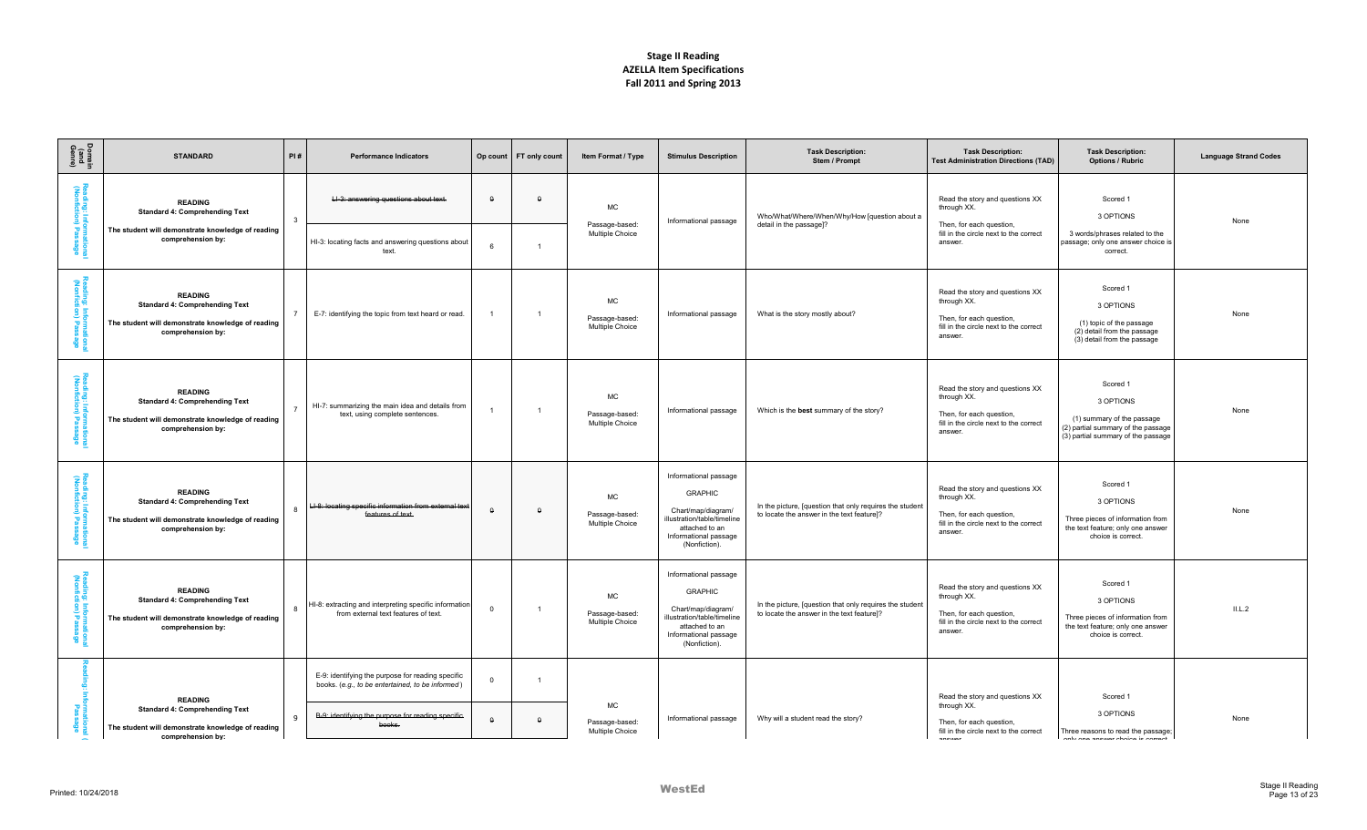| Domain<br>(and<br>Genre)                             | <b>STANDARD</b>                                                                                                                   | PI#          | <b>Performance Indicators</b>                                                                                                                                        | Op count                   | FT only count  | Item Format / Type                      | <b>Stimulus Description</b>                                                                                                                              | <b>Task Description:</b><br>Stem / Prompt                                                              | <b>Task Description:</b><br><b>Test Administration Directions (TAD)</b>                                                         | <b>Task Description:</b><br><b>Options / Rubric</b>                                                                             | <b>Language Strand Codes</b> |
|------------------------------------------------------|-----------------------------------------------------------------------------------------------------------------------------------|--------------|----------------------------------------------------------------------------------------------------------------------------------------------------------------------|----------------------------|----------------|-----------------------------------------|----------------------------------------------------------------------------------------------------------------------------------------------------------|--------------------------------------------------------------------------------------------------------|---------------------------------------------------------------------------------------------------------------------------------|---------------------------------------------------------------------------------------------------------------------------------|------------------------------|
| Ξ<br>Informa<br>ion) Pas                             | <b>READING</b><br><b>Standard 4: Comprehending Text</b><br>The student will demonstrate knowledge of reading<br>comprehension by: | -3           | LI-3: answering questions about text.<br>HI-3: locating facts and answering questions about<br>text.                                                                 | $\Omega$<br>6              | $\Omega$       | MC<br>Passage-based:<br>Multiple Choice | Informational passage                                                                                                                                    | Who/What/Where/When/Why/How [question about a<br>detail in the passage]?                               | Read the story and questions XX<br>through XX.<br>Then, for each question,<br>fill in the circle next to the correct<br>answer. | Scored 1<br>3 OPTIONS<br>3 words/phrases related to the<br>passage; only one answer choice is<br>correct.                       | None                         |
| <b>S</b><br>ding: Informa<br>nfiction) Pas           | <b>READING</b><br><b>Standard 4: Comprehending Text</b><br>The student will demonstrate knowledge of reading<br>comprehension by: |              | E-7: identifying the topic from text heard or read.                                                                                                                  |                            | $\overline{1}$ | MC<br>Passage-based:<br>Multiple Choice | Informational passage                                                                                                                                    | What is the story mostly about?                                                                        | Read the story and questions XX<br>through XX.<br>Then, for each question,<br>fill in the circle next to the correct<br>answer. | Scored 1<br>3 OPTIONS<br>(1) topic of the passage<br>(2) detail from the passage<br>(3) detail from the passage                 | None                         |
| Reac<br>ling: Informal<br>nfiction) Pass             | <b>READING</b><br><b>Standard 4: Comprehending Text</b><br>The student will demonstrate knowledge of reading<br>comprehension by: |              | HI-7: summarizing the main idea and details from<br>text, using complete sentences.                                                                                  |                            | $\overline{1}$ | MC<br>Passage-based:<br>Multiple Choice | Informational passage                                                                                                                                    | Which is the best summary of the story?                                                                | Read the story and questions XX<br>through XX.<br>Then, for each question,<br>fill in the circle next to the correct<br>answer. | Scored 1<br>3 OPTIONS<br>(1) summary of the passage<br>(2) partial summary of the passage<br>(3) partial summary of the passage | None                         |
| Reading: Informat<br>(Nonfiction) Pass<br>ege<br>age | <b>READING</b><br><b>Standard 4: Comprehending Text</b><br>The student will demonstrate knowledge of reading<br>comprehension by: |              | LI-8: locating specific information from external text<br>features of text.                                                                                          | $\theta$                   | $\theta$       | MC<br>Passage-based:<br>Multiple Choice | Informational passage<br><b>GRAPHIC</b><br>Chart/map/diagram/<br>illustration/table/timeline<br>attached to an<br>Informational passage<br>(Nonfiction). | In the picture, [question that only requires the student<br>to locate the answer in the text feature]? | Read the story and questions XX<br>through XX.<br>Then, for each question,<br>fill in the circle next to the correct<br>answer. | Scored 1<br>3 OPTIONS<br>Three pieces of information from<br>the text feature; only one answer<br>choice is correct.            | None                         |
| Reading: Informat<br>(Nonfiction) Pass               | <b>READING</b><br><b>Standard 4: Comprehending Text</b><br>The student will demonstrate knowledge of reading<br>comprehension by: |              | HI-8: extracting and interpreting specific information<br>from external text features of text.                                                                       | $\overline{\mathbf{0}}$    | $\mathbf{1}$   | MC<br>Passage-based:<br>Multiple Choice | Informational passage<br><b>GRAPHIC</b><br>Chart/map/diagram/<br>illustration/table/timeline<br>attached to an<br>Informational passage<br>(Nonfiction). | In the picture, [question that only requires the student<br>to locate the answer in the text feature]? | Read the story and questions XX<br>through XX.<br>Then, for each question,<br>fill in the circle next to the correct<br>answer. | Scored 1<br>3 OPTIONS<br>Three pieces of information from<br>the text feature; only one answer<br>choice is correct.            | II.L.2                       |
|                                                      | <b>READING</b><br><b>Standard 4: Comprehending Text</b><br>The student will demonstrate knowledge of reading<br>comprehension bv: | $\mathbf{q}$ | E-9: identifying the purpose for reading specific<br>books. (e.g., to be entertained, to be informed)<br>B-9: identifying the purpose for reading specific<br>books. | $\overline{0}$<br>$\theta$ | $\theta$       | MC<br>Passage-based:<br>Multiple Choice | Informational passage                                                                                                                                    | Why will a student read the story?                                                                     | Read the story and questions XX<br>through XX.<br>Then, for each question,<br>fill in the circle next to the correct            | Scored 1<br>3 OPTIONS<br>Three reasons to read the passage;<br>ander ann annesenn abatan                                        | None                         |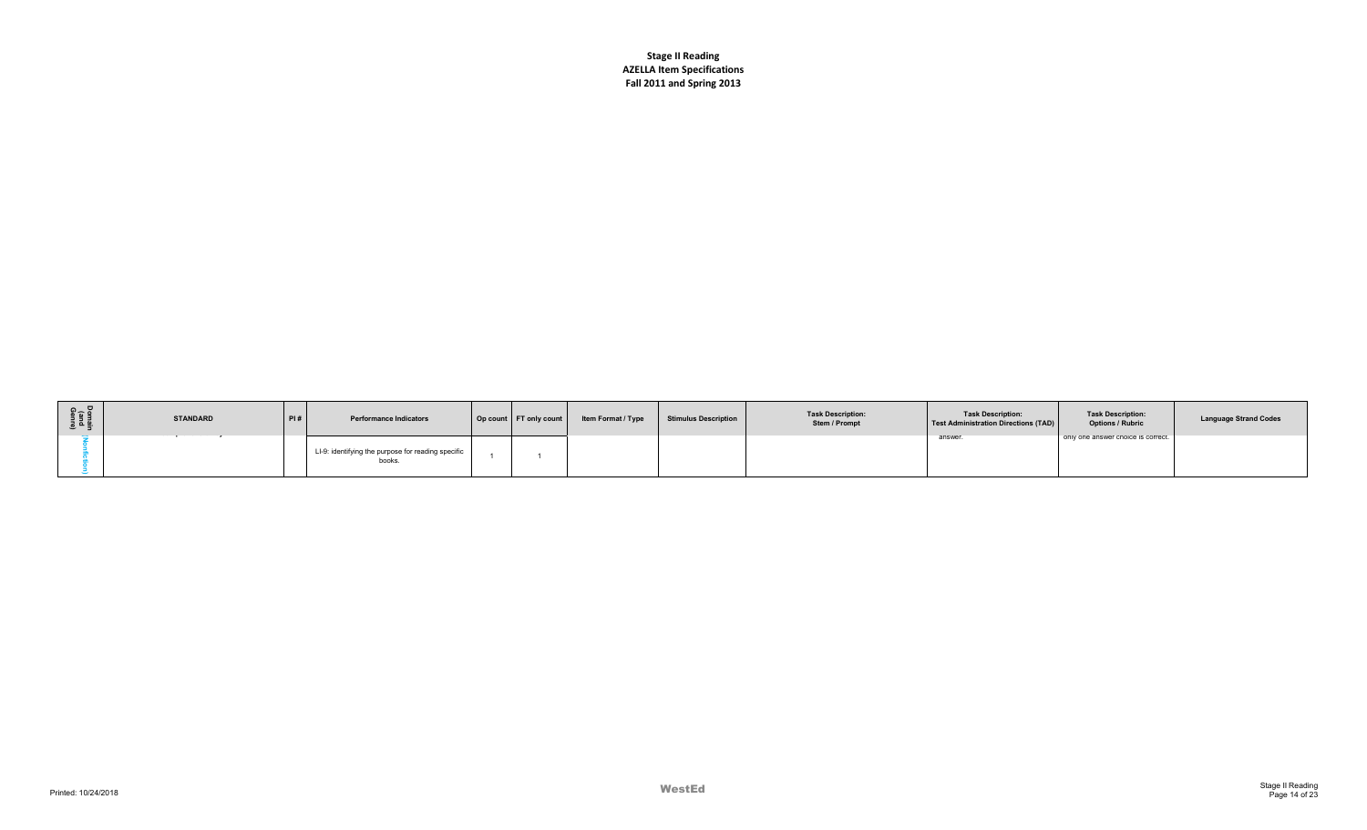| Domain<br>(and<br>Genre) | <b>STANDARD</b> | PI# | <b>Performance Indicators</b>                                | Op count   FT only count | Item Format / Type | Stimulus Description | <b>Task Description:</b><br>Stem / Prompt | <b>Task Description:</b><br>Test Administration Directions (TAD) | <b>Task Description:</b><br><b>Options / Rubric</b> | <b>Language Strand Codes</b> |
|--------------------------|-----------------|-----|--------------------------------------------------------------|--------------------------|--------------------|----------------------|-------------------------------------------|------------------------------------------------------------------|-----------------------------------------------------|------------------------------|
|                          |                 |     | LI-9: identifying the purpose for reading specific<br>books. |                          |                    |                      |                                           | answer                                                           | only one answer cnoice is correct.                  |                              |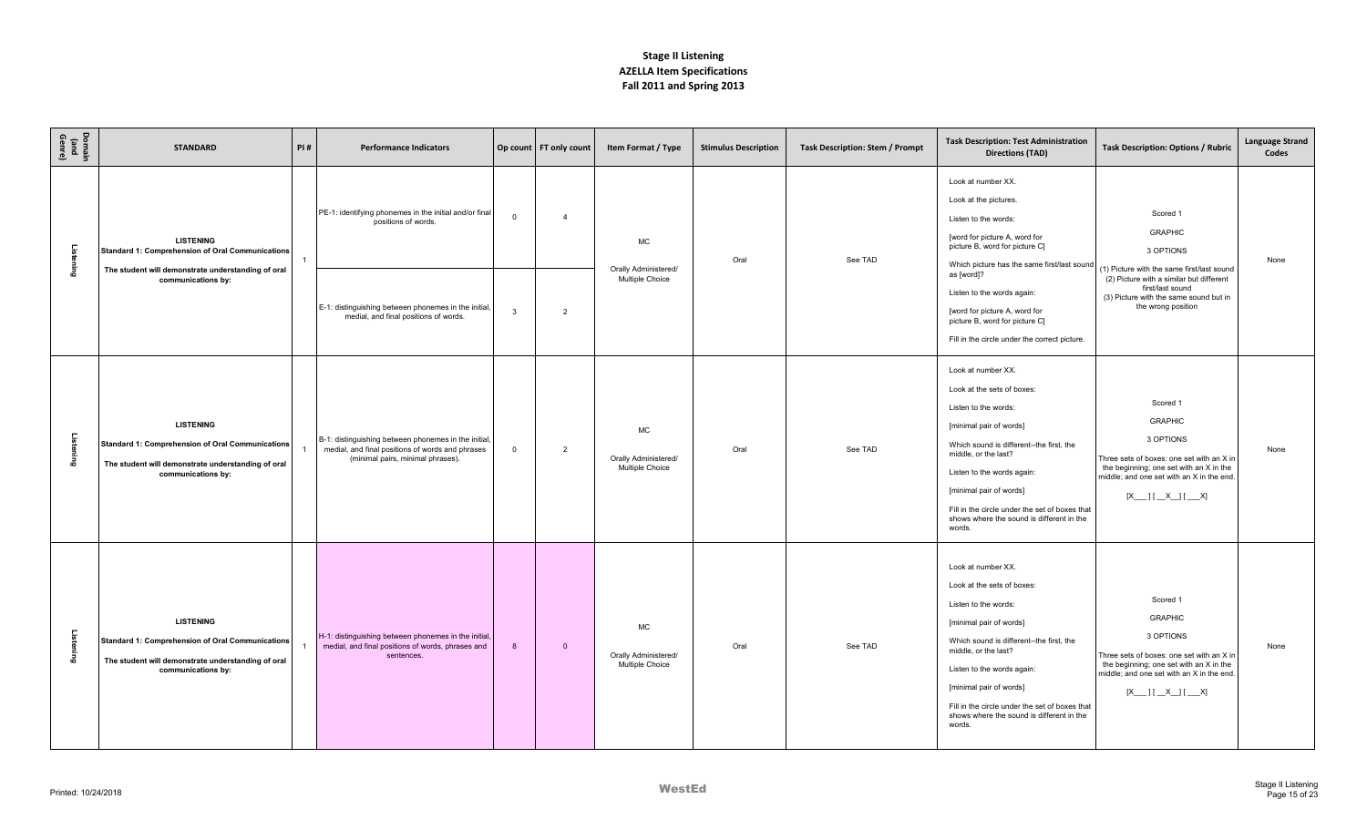| Domain<br>(and<br>Genre) | <b>STANDARD</b>                                                                                                                                         | PI#                                                                                                                                                | <b>Performance Indicators</b>                                                                                                                 |                                                                                                                                                              | Op count FT only count                                                                                                       | Item Format / Type                                   | <b>Stimulus Description</b> | <b>Task Description: Stem / Prompt</b> | <b>Task Description: Test Administration</b><br><b>Directions (TAD)</b>                                                                                                                                                                                                                                                                   | <b>Task Description: Options / Rubric</b>                                                                                                                                                                | <b>Language Strand</b><br>Codes |
|--------------------------|---------------------------------------------------------------------------------------------------------------------------------------------------------|----------------------------------------------------------------------------------------------------------------------------------------------------|-----------------------------------------------------------------------------------------------------------------------------------------------|--------------------------------------------------------------------------------------------------------------------------------------------------------------|------------------------------------------------------------------------------------------------------------------------------|------------------------------------------------------|-----------------------------|----------------------------------------|-------------------------------------------------------------------------------------------------------------------------------------------------------------------------------------------------------------------------------------------------------------------------------------------------------------------------------------------|----------------------------------------------------------------------------------------------------------------------------------------------------------------------------------------------------------|---------------------------------|
| Listening                | <b>LISTENING</b><br><b>Standard 1: Comprehension of Oral Communications</b><br>The student will demonstrate understanding of oral                       |                                                                                                                                                    | PE-1: identifying phonemes in the initial and/or final<br>positions of words.                                                                 | $\mathbf 0$                                                                                                                                                  | $\overline{4}$                                                                                                               | MC<br>Orally Administered/                           | Oral                        | See TAD                                | Look at number XX.<br>Look at the pictures.<br>Listen to the words:<br>[word for picture A, word for<br>picture B, word for picture C]<br>Which picture has the same first/last sound                                                                                                                                                     | Scored 1<br><b>GRAPHIC</b><br>3 OPTIONS<br>(1) Picture with the same first/last sound                                                                                                                    | None                            |
|                          | communications by:                                                                                                                                      | Multiple Choice<br>E-1: distinguishing between phonemes in the initial,<br>$\overline{2}$<br>$\mathbf{3}$<br>medial, and final positions of words. |                                                                                                                                               | as [word]?<br>Listen to the words again:<br>[word for picture A, word for<br>picture B, word for picture C]<br>Fill in the circle under the correct picture. | (2) Picture with a similar but different<br>first/last sound<br>(3) Picture with the same sound but in<br>the wrong position |                                                      |                             |                                        |                                                                                                                                                                                                                                                                                                                                           |                                                                                                                                                                                                          |                                 |
| Listening                | <b>LISTENING</b><br><b>Standard 1: Comprehension of Oral Communications</b><br>The student will demonstrate understanding of oral<br>communications by: |                                                                                                                                                    | B-1: distinguishing between phonemes in the initial,<br>medial, and final positions of words and phrases<br>(minimal pairs, minimal phrases). | $\mathbf 0$                                                                                                                                                  | $\overline{2}$                                                                                                               | MC<br>Orally Administered/<br>Multiple Choice        | Oral                        | See TAD                                | Look at number XX.<br>Look at the sets of boxes:<br>Listen to the words:<br>[minimal pair of words]<br>Which sound is different--the first, the<br>middle, or the last?<br>Listen to the words again:<br>[minimal pair of words]<br>Fill in the circle under the set of boxes that<br>shows where the sound is different in the<br>words. | Scored 1<br><b>GRAPHIC</b><br>3 OPTIONS<br>Three sets of boxes: one set with an X in<br>the beginning; one set with an X in the<br>middle; and one set with an X in the end.<br>$[X$ $ X $ $X$ $ X $ $X$ | None                            |
| Listening                | <b>LISTENING</b><br><b>Standard 1: Comprehension of Oral Communications</b><br>The student will demonstrate understanding of oral<br>communications by: |                                                                                                                                                    | H-1: distinguishing between phonemes in the initial,<br>medial, and final positions of words, phrases and<br>sentences.                       | $\mathbf{8}$                                                                                                                                                 | $\mathbf{0}$                                                                                                                 | <b>MC</b><br>Orally Administered/<br>Multiple Choice | Oral                        | See TAD                                | Look at number XX.<br>Look at the sets of boxes:<br>Listen to the words:<br>[minimal pair of words]<br>Which sound is different--the first, the<br>middle, or the last?<br>Listen to the words again:<br>[minimal pair of words]<br>Fill in the circle under the set of boxes that<br>shows where the sound is different in the<br>words. | Scored 1<br><b>GRAPHIC</b><br>3 OPTIONS<br>Three sets of boxes: one set with an X in<br>the beginning; one set with an X in the<br>middle: and one set with an X in the end.                             | None                            |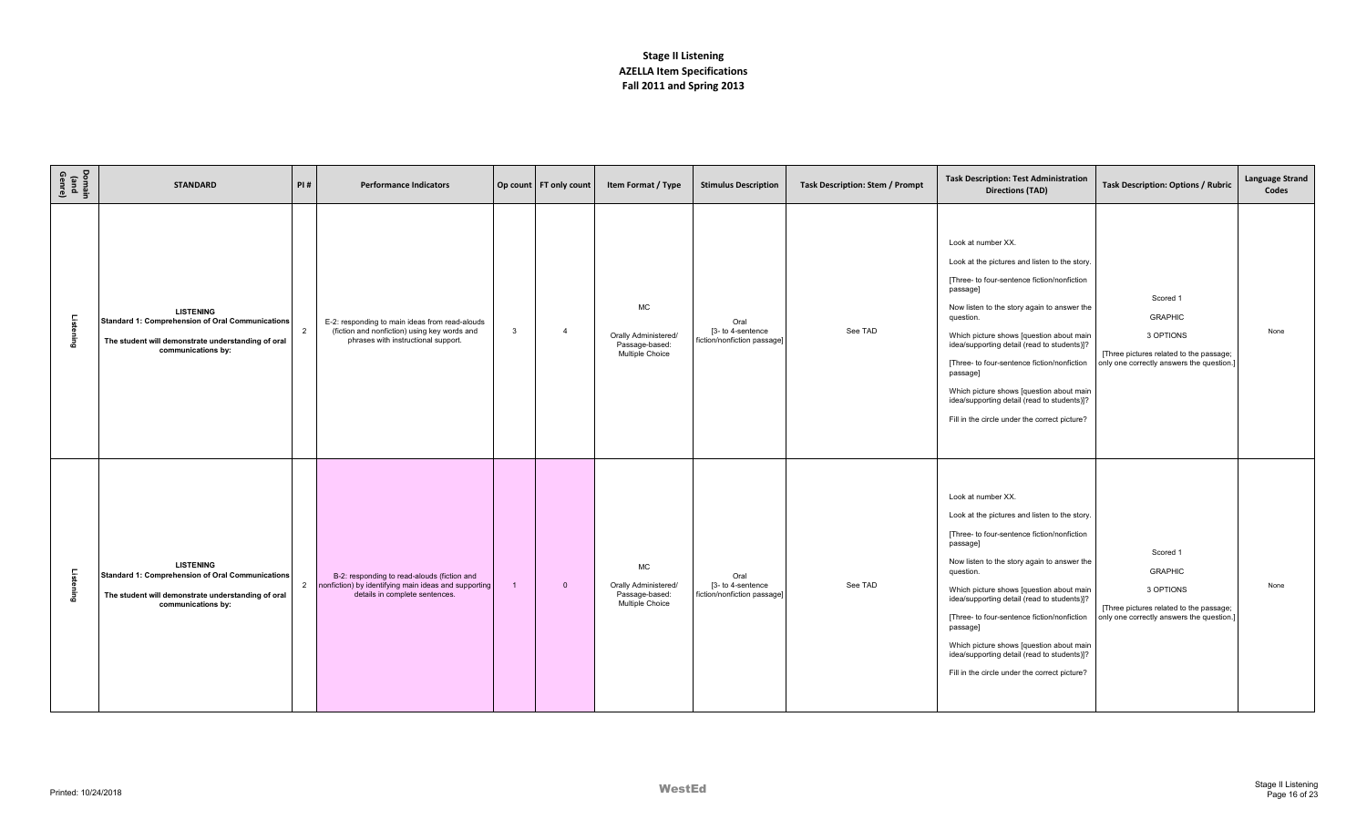| Domain<br>(and<br>Genre) | <b>STANDARD</b>                                                                                                                                         | PI#            | <b>Performance Indicators</b>                                                                                                         |              | Op count   FT only count | Item Format / Type                                                     | <b>Stimulus Description</b>                              | Task Description: Stem / Prompt | <b>Task Description: Test Administration</b><br><b>Directions (TAD)</b>                                                                                                                                                                                                                                                                                                                                                                                                                      | Task Description: Options / Rubric                                                                                              | <b>Language Strand</b><br>Codes |
|--------------------------|---------------------------------------------------------------------------------------------------------------------------------------------------------|----------------|---------------------------------------------------------------------------------------------------------------------------------------|--------------|--------------------------|------------------------------------------------------------------------|----------------------------------------------------------|---------------------------------|----------------------------------------------------------------------------------------------------------------------------------------------------------------------------------------------------------------------------------------------------------------------------------------------------------------------------------------------------------------------------------------------------------------------------------------------------------------------------------------------|---------------------------------------------------------------------------------------------------------------------------------|---------------------------------|
| Listening                | <b>LISTENING</b><br><b>Standard 1: Comprehension of Oral Communications</b><br>The student will demonstrate understanding of oral<br>communications by: | 2              | E-2: responding to main ideas from read-alouds<br>(fiction and nonfiction) using key words and<br>phrases with instructional support. | $\mathbf{3}$ | $\overline{4}$           | <b>MC</b><br>Orally Administered/<br>Passage-based:<br>Multiple Choice | Oral<br>[3- to 4-sentence<br>fiction/nonfiction passage] | See TAD                         | Look at number XX.<br>Look at the pictures and listen to the story.<br>[Three- to four-sentence fiction/nonfiction<br>passage]<br>Now listen to the story again to answer the<br>question.<br>Which picture shows [question about main<br>idea/supporting detail (read to students)]?<br>[Three- to four-sentence fiction/nonfiction<br>passage]<br>Which picture shows [question about main<br>idea/supporting detail (read to students)]?<br>Fill in the circle under the correct picture? | Scored 1<br><b>GRAPHIC</b><br>3 OPTIONS<br>[Three pictures related to the passage;<br>only one correctly answers the question.] | None                            |
| Listening                | <b>LISTENING</b><br><b>Standard 1: Comprehension of Oral Communications</b><br>The student will demonstrate understanding of oral<br>communications by: | $\overline{2}$ | B-2: responding to read-alouds (fiction and<br>nonfiction) by identifying main ideas and supporting<br>details in complete sentences. |              | $\mathbf{0}$             | MC<br>Orally Administered/<br>Passage-based:<br>Multiple Choice        | Oral<br>[3- to 4-sentence<br>fiction/nonfiction passage] | See TAD                         | Look at number XX.<br>Look at the pictures and listen to the story.<br>[Three- to four-sentence fiction/nonfiction<br>passage]<br>Now listen to the story again to answer the<br>question.<br>Which picture shows [question about main<br>idea/supporting detail (read to students)]?<br>[Three- to four-sentence fiction/nonfiction<br>passage]<br>Which picture shows [question about main<br>idea/supporting detail (read to students)]?<br>Fill in the circle under the correct picture? | Scored 1<br><b>GRAPHIC</b><br>3 OPTIONS<br>[Three pictures related to the passage;<br>only one correctly answers the question.] | None                            |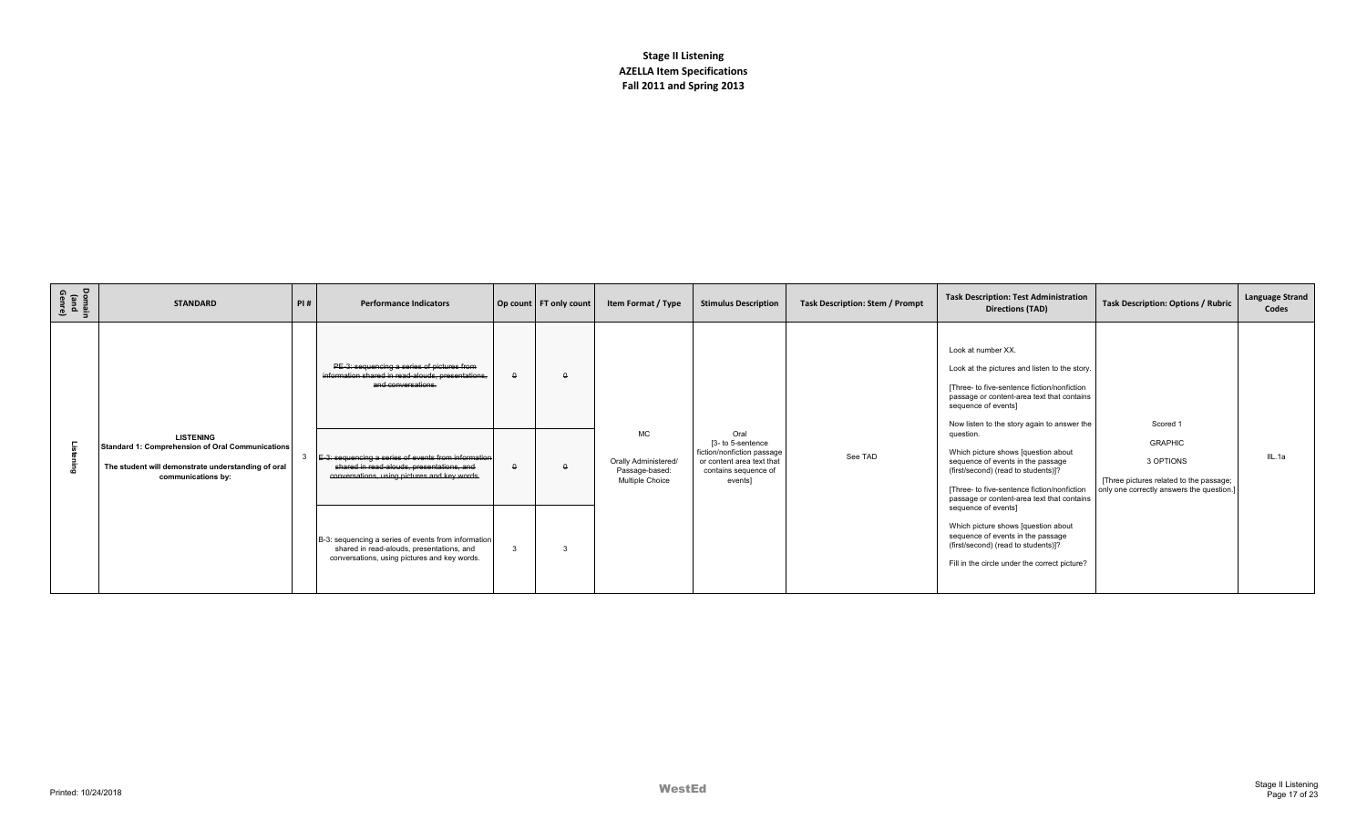| Domain<br>(and<br>Genre) | <b>STANDARD</b>                                                                                                                                  | PI# | <b>Performance Indicators</b>                                                                                                                    |          | Op count   FT only count | Item Format / Type                                        | <b>Stimulus Description</b>                                                                                     | Task Description: Stem / Prompt | <b>Task Description: Test Administration</b><br><b>Directions (TAD)</b>                                                                                                                                                                             | <b>Task Description: Options / Rubric</b>                                                                          | <b>Language Strand</b><br>Codes |
|--------------------------|--------------------------------------------------------------------------------------------------------------------------------------------------|-----|--------------------------------------------------------------------------------------------------------------------------------------------------|----------|--------------------------|-----------------------------------------------------------|-----------------------------------------------------------------------------------------------------------------|---------------------------------|-----------------------------------------------------------------------------------------------------------------------------------------------------------------------------------------------------------------------------------------------------|--------------------------------------------------------------------------------------------------------------------|---------------------------------|
|                          |                                                                                                                                                  |     | PE-3: sequencing a series of pictures from<br>information shared in read-alouds, presentations.<br>and conversations.                            | $\Omega$ |                          | <b>MC</b>                                                 | Oral                                                                                                            |                                 | Look at number XX.<br>Look at the pictures and listen to the story.<br>[Three- to five-sentence fiction/nonfiction<br>passage or content-area text that contains<br>sequence of events]<br>Now listen to the story again to answer the<br>question. | Scored 1                                                                                                           |                                 |
|                          | <b>LISTENING</b><br>Standard 1: Comprehension of Oral Communications<br>The student will demonstrate understanding of oral<br>communications by: |     | E-3: sequencing a series of events from information<br>shared in read-alouds, presentations, and<br>conversations, using pictures and key words. |          |                          | Orally Administered/<br>Passage-based:<br>Multiple Choice | [3- to 5-sentence<br>fiction/nonfiction passage<br>or content area text that<br>contains sequence of<br>events] | See TAD                         | Which picture shows [question about<br>sequence of events in the passage<br>(first/second) (read to students)]?<br>[Three- to five-sentence fiction/nonfiction<br>passage or content-area text that contains                                        | <b>GRAPHIC</b><br>3 OPTIONS<br>[Three pictures related to the passage;<br>only one correctly answers the question. | IIL.1a                          |
|                          |                                                                                                                                                  |     | B-3: sequencing a series of events from information<br>shared in read-alouds, presentations, and<br>conversations, using pictures and key words. |          |                          |                                                           |                                                                                                                 |                                 | sequence of events]<br>Which picture shows [question about<br>sequence of events in the passage<br>(first/second) (read to students)]?<br>Fill in the circle under the correct picture?                                                             |                                                                                                                    |                                 |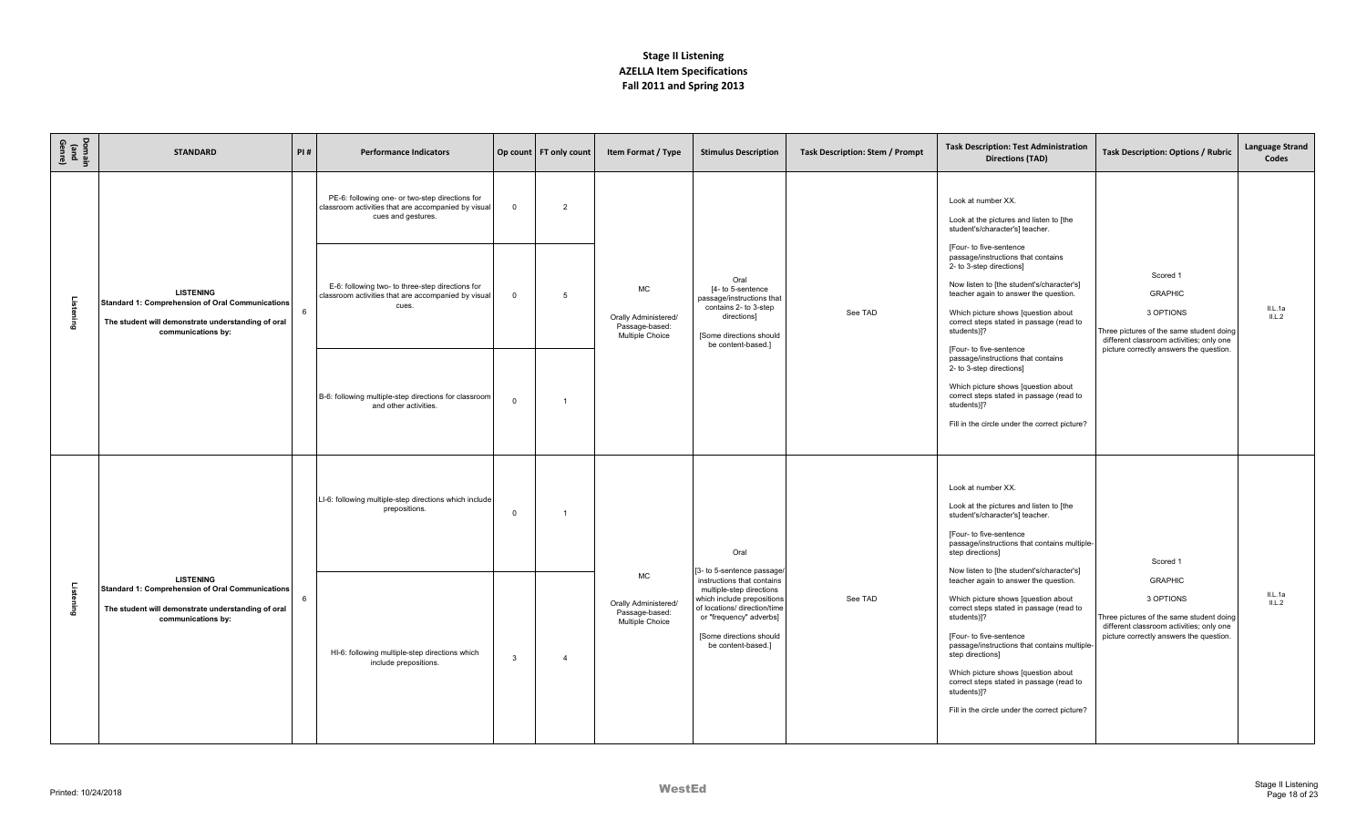| Domain<br>(and<br>Genre) | <b>STANDARD</b>                                                                                                                                  | PI# | <b>Performance Indicators</b>                                                                                                |                | Op count   FT only count | Item Format / Type                                                     | <b>Stimulus Description</b>                                                                                                                                                                                                    | <b>Task Description: Stem / Prompt</b> | <b>Task Description: Test Administration</b><br><b>Directions (TAD)</b>                                                                                                                                                                                                                                                                                                                                                                | <b>Task Description: Options / Rubric</b>                                                                                                                      | <b>Language Strand</b><br>Codes |
|--------------------------|--------------------------------------------------------------------------------------------------------------------------------------------------|-----|------------------------------------------------------------------------------------------------------------------------------|----------------|--------------------------|------------------------------------------------------------------------|--------------------------------------------------------------------------------------------------------------------------------------------------------------------------------------------------------------------------------|----------------------------------------|----------------------------------------------------------------------------------------------------------------------------------------------------------------------------------------------------------------------------------------------------------------------------------------------------------------------------------------------------------------------------------------------------------------------------------------|----------------------------------------------------------------------------------------------------------------------------------------------------------------|---------------------------------|
|                          |                                                                                                                                                  |     | PE-6: following one- or two-step directions for<br>classroom activities that are accompanied by visual<br>cues and gestures. | $\mathbf 0$    | $\overline{2}$           |                                                                        |                                                                                                                                                                                                                                |                                        | Look at number XX.<br>Look at the pictures and listen to [the<br>student's/character's] teacher.                                                                                                                                                                                                                                                                                                                                       |                                                                                                                                                                |                                 |
| Listening                | <b>LISTENING</b><br>Standard 1: Comprehension of Oral Communications<br>The student will demonstrate understanding of oral<br>communications by: |     | E-6: following two- to three-step directions for<br>classroom activities that are accompanied by visual<br>cues.             | $\overline{0}$ | 5                        | MC<br>Orally Administered/<br>Passage-based:<br>Multiple Choice        | Oral<br>[4- to 5-sentence<br>passage/instructions that<br>contains 2- to 3-step<br>directions]<br>[Some directions should<br>be content-based.]                                                                                | See TAD                                | [Four- to five-sentence<br>passage/instructions that contains<br>2- to 3-step directions]<br>Now listen to [the student's/character's]<br>teacher again to answer the question.<br>Which picture shows [question about<br>correct steps stated in passage (read to<br>students)]?<br>[Four- to five-sentence                                                                                                                           | Scored 1<br><b>GRAPHIC</b><br>3 OPTIONS<br>Three pictures of the same student doing<br>different classroom activities; only one                                | IL.Aa<br>IL.L.2                 |
|                          |                                                                                                                                                  |     | B-6: following multiple-step directions for classroom<br>and other activities.                                               | $\Omega$       |                          |                                                                        |                                                                                                                                                                                                                                |                                        | passage/instructions that contains<br>2- to 3-step directions]<br>Which picture shows [question about<br>correct steps stated in passage (read to<br>students)]?<br>Fill in the circle under the correct picture?                                                                                                                                                                                                                      | picture correctly answers the question.                                                                                                                        |                                 |
|                          |                                                                                                                                                  |     | LI-6: following multiple-step directions which include<br>prepositions.                                                      | $\overline{0}$ |                          |                                                                        | Oral                                                                                                                                                                                                                           |                                        | Look at number XX.<br>Look at the pictures and listen to [the<br>student's/character's] teacher.<br>[Four- to five-sentence<br>passage/instructions that contains multiple-<br>step directions]                                                                                                                                                                                                                                        | Scored 1                                                                                                                                                       |                                 |
| Listening                | <b>LISTENING</b><br>Standard 1: Comprehension of Oral Communications<br>The student will demonstrate understanding of oral<br>communications by: | 6   | HI-6: following multiple-step directions which<br>include prepositions.                                                      | $\mathbf{3}$   |                          | <b>MC</b><br>Orally Administered/<br>Passage-based:<br>Multiple Choice | [3- to 5-sentence passage/<br>instructions that contains<br>multiple-step directions<br>which include prepositions<br>of locations/ direction/time<br>or "frequency" adverbs]<br>[Some directions should<br>be content-based.] | See TAD                                | Now listen to [the student's/character's]<br>teacher again to answer the question.<br>Which picture shows [question about<br>correct steps stated in passage (read to<br>students)]?<br>[Four- to five-sentence<br>passage/instructions that contains multiple-<br>step directions]<br>Which picture shows [question about<br>correct steps stated in passage (read to<br>students)]?<br>Fill in the circle under the correct picture? | <b>GRAPHIC</b><br>3 OPTIONS<br>Three pictures of the same student doing<br>different classroom activities; only one<br>picture correctly answers the question. | IL.Aa<br>IL.L.2                 |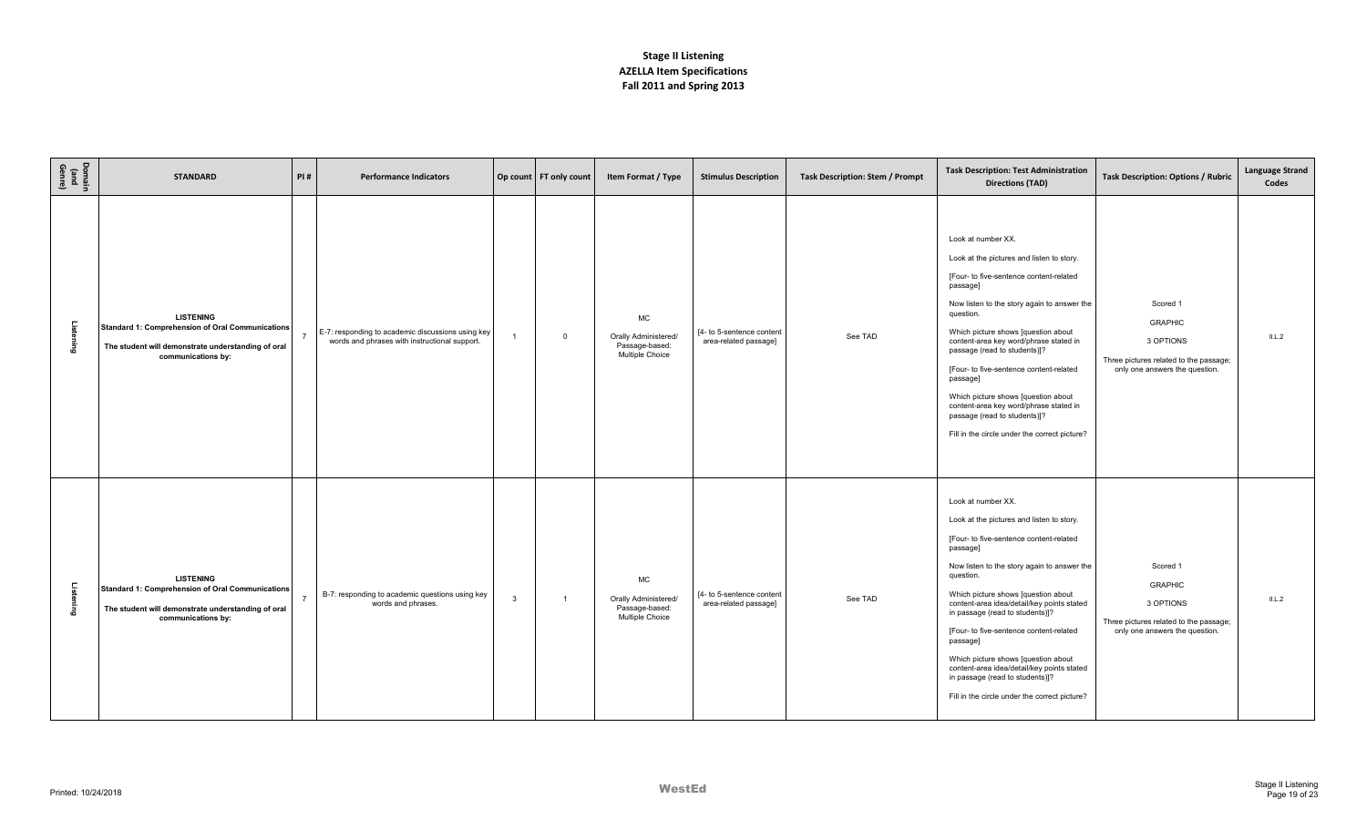| Domain<br>(and<br>Genre) | <b>STANDARD</b>                                                                                                                                  | PI# | <b>Performance Indicators</b>                                                                      |                | Op count FT only count | Item Format / Type                                                     | <b>Stimulus Description</b>                        | Task Description: Stem / Prompt | <b>Task Description: Test Administration</b><br><b>Directions (TAD)</b>                                                                                                                                                                                                                                                                                                                                                                                                                                                                    | Task Description: Options / Rubric                                                                                  | <b>Language Strand</b><br>Codes |
|--------------------------|--------------------------------------------------------------------------------------------------------------------------------------------------|-----|----------------------------------------------------------------------------------------------------|----------------|------------------------|------------------------------------------------------------------------|----------------------------------------------------|---------------------------------|--------------------------------------------------------------------------------------------------------------------------------------------------------------------------------------------------------------------------------------------------------------------------------------------------------------------------------------------------------------------------------------------------------------------------------------------------------------------------------------------------------------------------------------------|---------------------------------------------------------------------------------------------------------------------|---------------------------------|
| .<br>Istening            | <b>LISTENING</b><br>Standard 1: Comprehension of Oral Communications<br>The student will demonstrate understanding of oral<br>communications by: |     | E-7: responding to academic discussions using key<br>words and phrases with instructional support. | $\overline{1}$ | $\mathbf 0$            | <b>MC</b><br>Orally Administered/<br>Passage-based:<br>Multiple Choice | [4- to 5-sentence content<br>area-related passage] | See TAD                         | Look at number XX.<br>Look at the pictures and listen to story.<br>[Four- to five-sentence content-related<br>passage]<br>Now listen to the story again to answer the<br>question.<br>Which picture shows [question about<br>content-area key word/phrase stated in<br>passage (read to students)]?<br>[Four- to five-sentence content-related<br>passage]<br>Which picture shows [question about<br>content-area key word/phrase stated in<br>passage (read to students)]?<br>Fill in the circle under the correct picture?               | Scored 1<br><b>GRAPHIC</b><br>3 OPTIONS<br>Three pictures related to the passage;<br>only one answers the question. | ILL.2                           |
| Listening                | <b>LISTENING</b><br>Standard 1: Comprehension of Oral Communications<br>The student will demonstrate understanding of oral<br>communications by: |     | B-7: responding to academic questions using key<br>words and phrases.                              | $\mathbf{3}$   | $\mathbf{1}$           | MC<br>Orally Administered/<br>Passage-based:<br>Multiple Choice        | [4- to 5-sentence content<br>area-related passage] | See TAD                         | Look at number XX.<br>Look at the pictures and listen to story.<br>[Four- to five-sentence content-related<br>passage]<br>Now listen to the story again to answer the<br>question.<br>Which picture shows [question about<br>content-area idea/detail/key points stated<br>in passage (read to students)]?<br>[Four- to five-sentence content-related<br>passage]<br>Which picture shows [question about<br>content-area idea/detail/key points stated<br>in passage (read to students)]?<br>Fill in the circle under the correct picture? | Scored 1<br><b>GRAPHIC</b><br>3 OPTIONS<br>Three pictures related to the passage;<br>only one answers the question. | IL.L.2                          |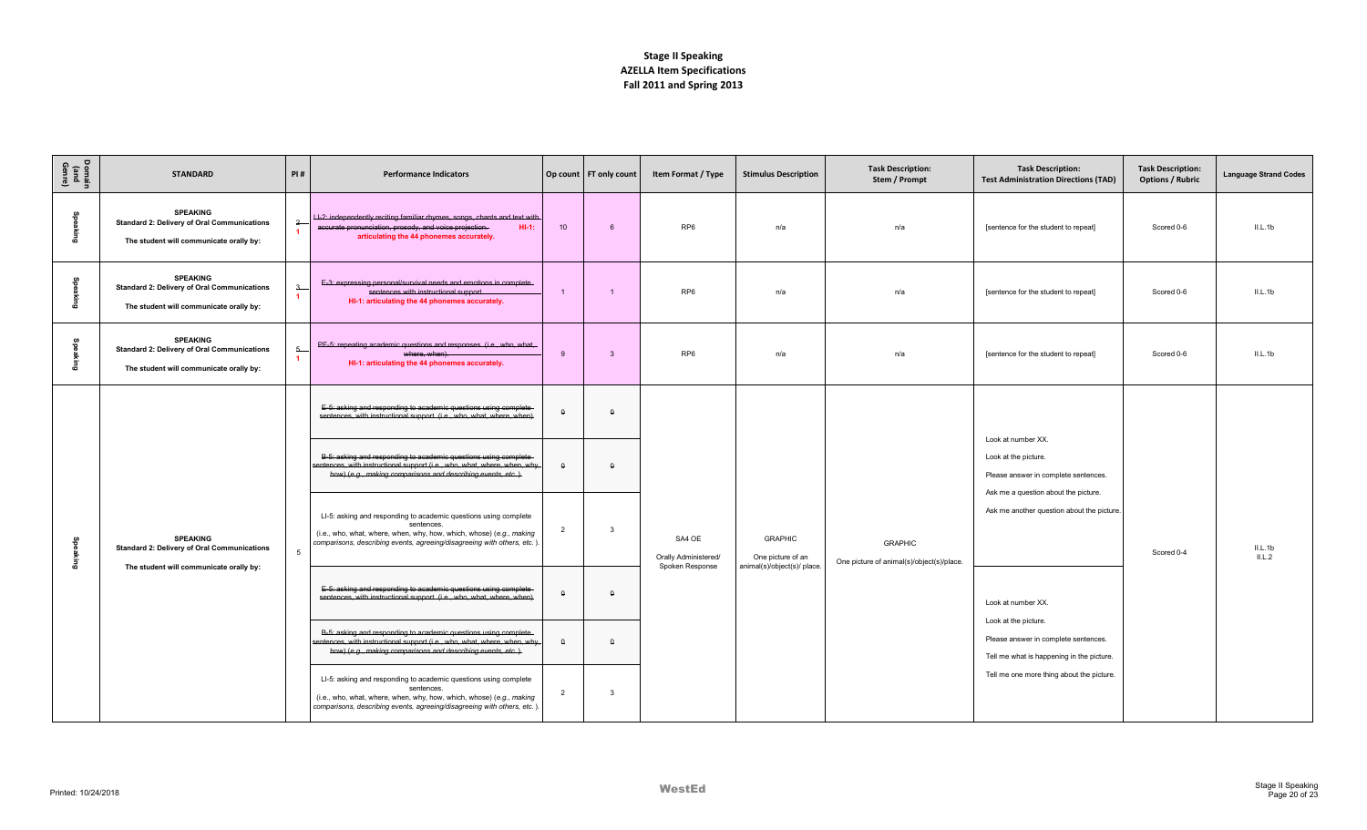| Domain<br>(and<br>Genre) | <b>STANDARD</b>                                                                                                  | PI#                                             | <b>Performance Indicators</b>                                                                                                                                                                                                     |                | Op count FT only count  | Item Format / Type                                | <b>Stimulus Description</b>                                       | <b>Task Description:</b><br>Stem / Prompt                   | <b>Task Description:</b><br><b>Test Administration Directions (TAD)</b>                                   | <b>Task Description:</b><br><b>Options / Rubric</b> | <b>Language Strand Codes</b> |
|--------------------------|------------------------------------------------------------------------------------------------------------------|-------------------------------------------------|-----------------------------------------------------------------------------------------------------------------------------------------------------------------------------------------------------------------------------------|----------------|-------------------------|---------------------------------------------------|-------------------------------------------------------------------|-------------------------------------------------------------|-----------------------------------------------------------------------------------------------------------|-----------------------------------------------------|------------------------------|
| Speaking                 | <b>SPEAKING</b><br><b>Standard 2: Delivery of Oral Communications</b><br>The student will communicate orally by: | $^{2}$<br>$\blacktriangleleft$                  | LI-2: independently reciting familiar rhymes, songs, chants and text with<br>accurate pronunciation, prosody, and voice projection.<br>$HI-1:$<br>articulating the 44 phonemes accurately                                         | 10             | 6                       | RP <sub>6</sub>                                   | n/a                                                               | n/a                                                         | [sentence for the student to repeat]                                                                      | Scored 0-6                                          | II.L.1b                      |
| Speaking                 | <b>SPEAKING</b><br><b>Standard 2: Delivery of Oral Communications</b><br>The student will communicate orally by: | $\overline{\mathbf{3}}$<br>$\blacktriangleleft$ | E-3: expressing personal/survival needs and emotions in complete<br>sentences with instructional support.<br>HI-1: articulating the 44 phonemes accurately.                                                                       | $\overline{1}$ |                         | RP <sub>6</sub>                                   | n/a                                                               | n/a                                                         | [sentence for the student to repeat]                                                                      | Scored 0-6                                          | IL.1b                        |
| မ္မွာ<br>డె              | <b>SPEAKING</b><br><b>Standard 2: Delivery of Oral Communications</b><br>The student will communicate orally by: | $5 -$                                           | PE-5: repeating academic questions and responses. (i.e., who, what,<br>where, when).<br>HI-1: articulating the 44 phonemes accurately.                                                                                            | $\mathbf{q}$   | $\overline{3}$          | RP <sub>6</sub>                                   | n/a                                                               | n/a                                                         | [sentence for the student to repeat]                                                                      | Scored 0-6                                          | II.L.1b                      |
|                          |                                                                                                                  |                                                 | E-5: asking and responding to academic questions using complete<br>sentences, with instructional support. (i.e., who, what, where, when)                                                                                          | $\mathbf{Q}$   | $\Omega$                |                                                   |                                                                   |                                                             |                                                                                                           |                                                     |                              |
|                          |                                                                                                                  |                                                 | B-5: asking and responding to academic questions using complete<br>sentences, with instructional support (i.e., who, what, where, when, why,<br>how) (e.g., making comparisons and describing events, etc.).                      | $\Omega$       | $\Omega$                |                                                   |                                                                   |                                                             | Look at number XX.<br>Look at the picture.<br>Please answer in complete sentences.                        |                                                     |                              |
| Speaking                 | <b>SPEAKING</b><br><b>Standard 2: Delivery of Oral Communications</b>                                            | 5                                               | LI-5: asking and responding to academic questions using complete<br>sentences.<br>(i.e., who, what, where, when, why, how, which, whose) (e.g., making<br>comparisons, describing events, agreeing/disagreeing with others, etc.) | $\overline{2}$ | $\overline{\mathbf{3}}$ | SA4 OE<br>Orally Administered/<br>Spoken Response | <b>GRAPHIC</b><br>One picture of an<br>animal(s)/object(s)/ place | <b>GRAPHIC</b><br>One picture of animal(s)/object(s)/place. | Ask me a question about the picture.<br>Ask me another question about the picture                         | Scored 0-4                                          | $IL.L.1b$<br>$IL.L.2$        |
|                          | The student will communicate orally by:                                                                          |                                                 | E-5: asking and responding to academic questions using complete<br>sentences, with instructional support. (i.e., who, what, where, when)                                                                                          | $\mathsf{o}$   | $\Omega$                |                                                   |                                                                   |                                                             | Look at number XX.                                                                                        |                                                     |                              |
|                          |                                                                                                                  |                                                 | B-5: asking and responding to academic questions using complete<br>sentences, with instructional support (i.e., who, what, where, when, why,<br>how) (e.g., making comparisons and describing events, etc.).                      | $\Omega$       | $\Omega$                |                                                   |                                                                   |                                                             | Look at the picture.<br>Please answer in complete sentences.<br>Tell me what is happening in the picture. |                                                     |                              |
|                          |                                                                                                                  |                                                 | LI-5: asking and responding to academic questions using complete<br>sentences.<br>(i.e., who, what, where, when, why, how, which, whose) (e.g., making<br>comparisons, describing events, agreeing/disagreeing with others, etc.) | $\overline{2}$ | $\mathbf{3}$            |                                                   |                                                                   |                                                             | Tell me one more thing about the picture.                                                                 |                                                     |                              |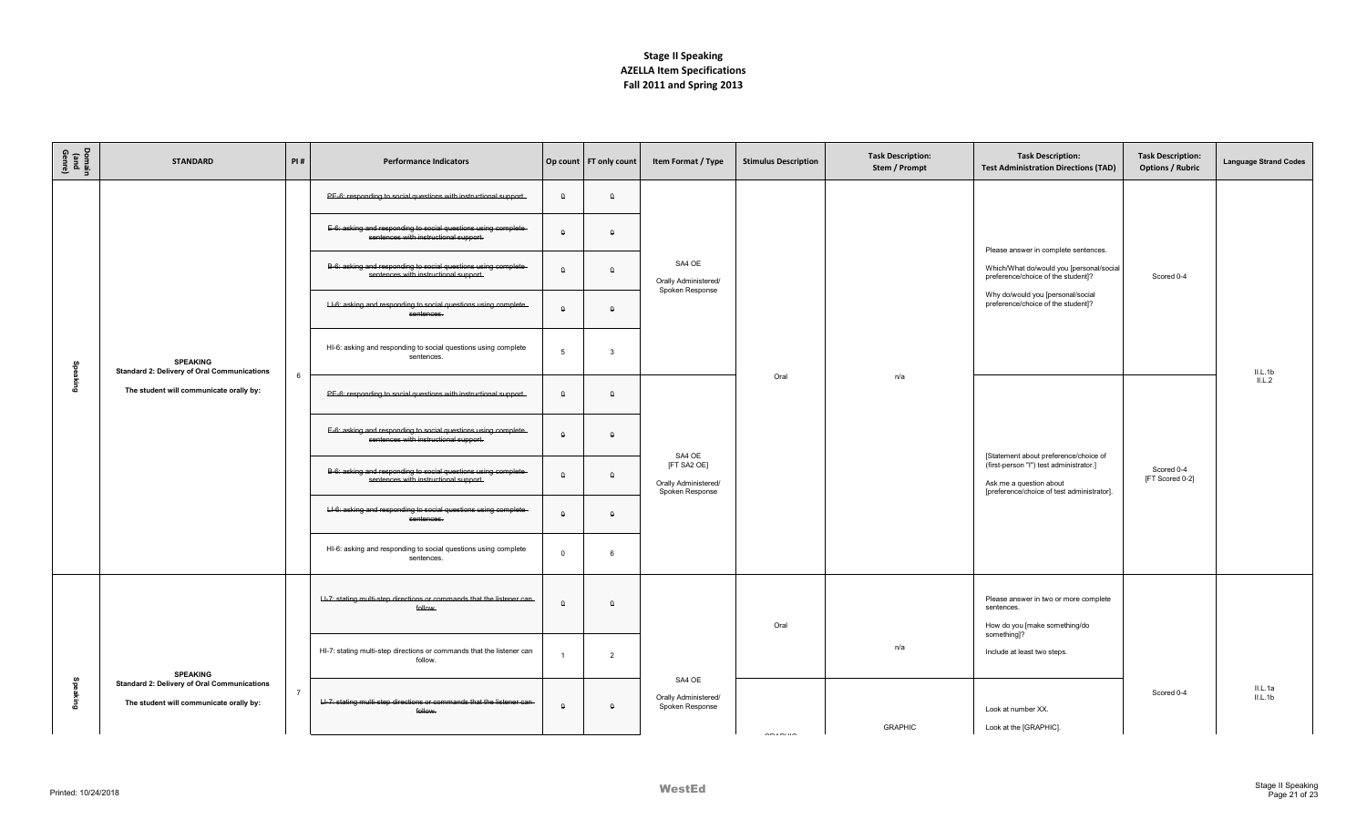| Domain<br>Gand<br>Genre) | <b>STANDARD</b>                                                                               | PI#            | <b>Performance Indicators</b>                                                                           |              | Op count FT only count | Item Format / Type                                     | <b>Stimulus Description</b> | <b>Task Description:</b><br>Stem / Prompt | <b>Task Description:</b><br><b>Test Administration Directions (TAD)</b>                                                | <b>Task Description:</b><br><b>Options / Rubric</b> | <b>Language Strand Codes</b> |
|--------------------------|-----------------------------------------------------------------------------------------------|----------------|---------------------------------------------------------------------------------------------------------|--------------|------------------------|--------------------------------------------------------|-----------------------------|-------------------------------------------|------------------------------------------------------------------------------------------------------------------------|-----------------------------------------------------|------------------------------|
|                          |                                                                                               |                | PE-6: responding to social questions with instructional support.                                        | $\Omega$     | $\Omega$               |                                                        |                             |                                           |                                                                                                                        |                                                     |                              |
|                          |                                                                                               |                | E-6: asking and responding to social questions using complete-<br>sentences with instructional support. | $\mathsf{o}$ | $\Omega$               |                                                        |                             |                                           |                                                                                                                        |                                                     |                              |
|                          |                                                                                               |                | B-6: asking and responding to social questions using complete<br>sentences with instructional support.  | $\Omega$     | $\Omega$               | SA4 OE<br>Orally Administered/<br>Spoken Response      |                             |                                           | Please answer in complete sentences.<br>Which/What do/would you [personal/social<br>preference/choice of the student]? | Scored 0-4                                          |                              |
|                          |                                                                                               |                | LI-6: asking and responding to social questions using complete<br>sentences.                            | $\theta$     | $\Omega$               |                                                        |                             |                                           | Why do/would you [personal/social<br>preference/choice of the student]?                                                |                                                     |                              |
|                          | <b>SPEAKING</b><br><b>Standard 2: Delivery of Oral Communications</b>                         |                | HI-6: asking and responding to social questions using complete<br>sentences.                            | 5            | $\mathbf{3}$           |                                                        |                             |                                           |                                                                                                                        |                                                     | II.L.1b                      |
| Speaking                 | The student will communicate orally by:                                                       | 6              | PE-6: responding to social questions with instructional support.                                        | $\theta$     | $\theta$               |                                                        | Oral                        | n/a                                       |                                                                                                                        |                                                     | IL.L.2                       |
|                          |                                                                                               |                | E-6: asking and responding to social questions using complete<br>sentences with instructional support.  | $\theta$     | $\theta$               | SA4 OE                                                 |                             |                                           | [Statement about preference/choice of                                                                                  |                                                     |                              |
|                          |                                                                                               |                | B-6: asking and responding to social questions using complete-<br>sentences with instructional support. | $\theta$     | $\theta$               | [FT SA2 OE]<br>Orally Administered/<br>Spoken Response |                             |                                           | (first-person "I") test administrator.]<br>Ask me a question about<br>[preference/choice of test administrator].       | Scored 0-4<br>[FT Scored 0-2]                       |                              |
|                          |                                                                                               |                | LI-6: asking and responding to social questions using complete<br>sentences.                            | $\theta$     | $\theta$               |                                                        |                             |                                           |                                                                                                                        |                                                     |                              |
|                          |                                                                                               |                | HI-6: asking and responding to social questions using complete<br>sentences.                            | $\Omega$     | -6                     |                                                        |                             |                                           |                                                                                                                        |                                                     |                              |
|                          |                                                                                               |                | LI-7: stating multi-step directions or commands that the listener can-<br>follow                        | $\theta$     | $\Omega$               |                                                        | Oral                        |                                           | Please answer in two or more complete<br>sentences.<br>How do you [make something/do                                   |                                                     |                              |
|                          | <b>SPEAKING</b>                                                                               |                | HI-7: stating multi-step directions or commands that the listener can<br>follow.                        |              | $\overline{2}$         |                                                        |                             | n/a                                       | something]?<br>Include at least two steps.                                                                             |                                                     |                              |
| 옴<br>aking               | <b>Standard 2: Delivery of Oral Communications</b><br>The student will communicate orally by: | $\overline{7}$ | LI-7: stating multi-step directions or commands that the listener can<br>follow.                        | $\Omega$     | $\theta$               | SA4 OE<br>Orally Administered/<br>Spoken Response      | $- - - - - - - -$           | <b>GRAPHIC</b>                            | Look at number XX.<br>Look at the [GRAPHIC].                                                                           | Scored 0-4                                          | IL.L.1a<br>II.L.1b           |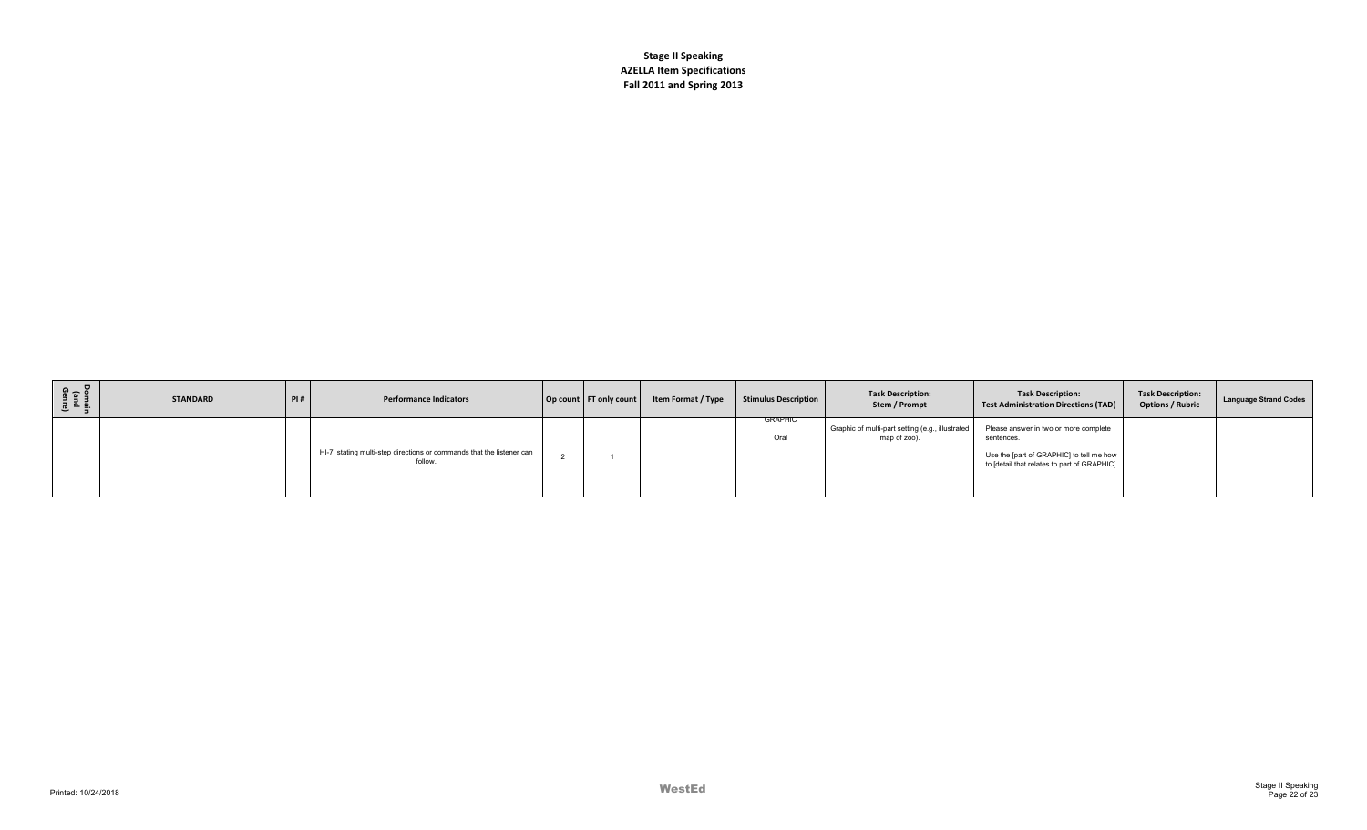| Domain<br>(and<br>Genre) | <b>STANDARD</b> | PI# | <b>Performance Indicators</b>                                                    | Op count FT only count | Item Format / Type | <b>Stimulus Description</b> | <b>Task Description:</b><br>Stem / Prompt                        | <b>Task Description:</b><br><b>Test Administration Directions (TAD)</b>                                                                         | <b>Task Description:</b><br><b>Options / Rubric</b> | Language Strand Codes |
|--------------------------|-----------------|-----|----------------------------------------------------------------------------------|------------------------|--------------------|-----------------------------|------------------------------------------------------------------|-------------------------------------------------------------------------------------------------------------------------------------------------|-----------------------------------------------------|-----------------------|
|                          |                 |     | HI-7: stating multi-step directions or commands that the listener can<br>follow. |                        |                    | <b>GRAPHIC</b><br>Oral      | Graphic of multi-part setting (e.g., illustrated<br>map of zoo). | Please answer in two or more complete<br>sentences.<br>Use the [part of GRAPHIC] to tell me how<br>to [detail that relates to part of GRAPHIC]. |                                                     |                       |